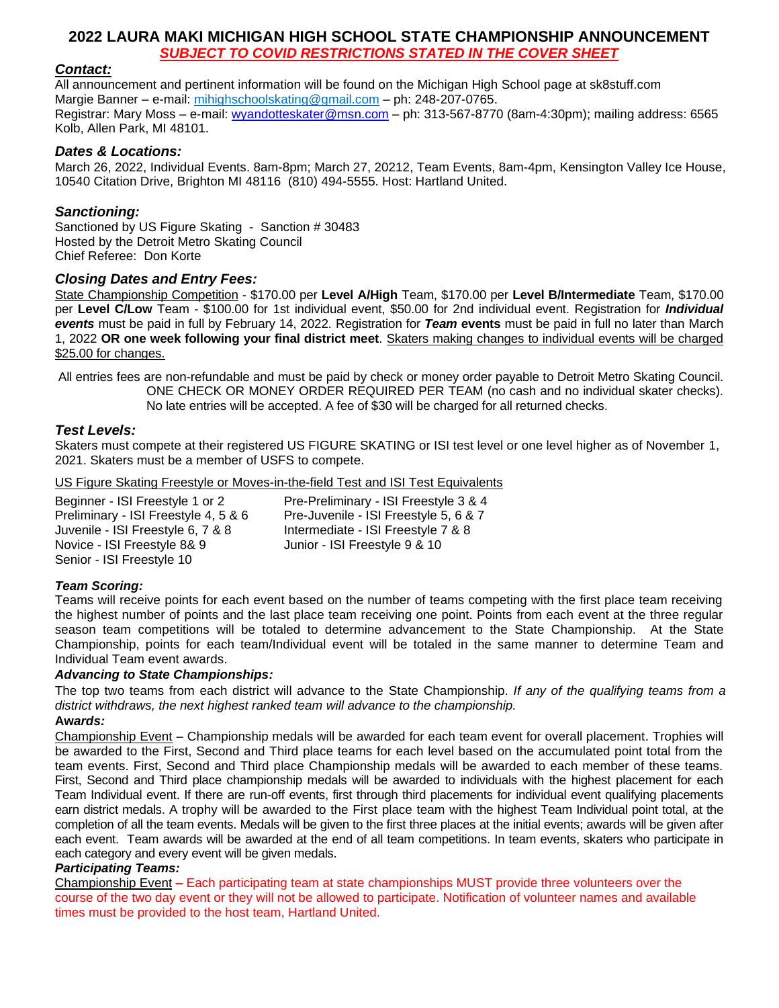## **2022 LAURA MAKI MICHIGAN HIGH SCHOOL STATE CHAMPIONSHIP ANNOUNCEMENT** *SUBJECT TO COVID RESTRICTIONS STATED IN THE COVER SHEET*

### *Contact:*

All announcement and pertinent information will be found on the Michigan High School page at sk8stuff.com Margie Banner – e-mail: mihighschoolskating@gmail.com – ph: 248-207-0765. Registrar: Mary Moss – e-mail: [wyandotteskater@msn.com](mailto:wyandotteskater@msn.com) – ph: 313-567-8770 (8am-4:30pm); mailing address: 6565 Kolb, Allen Park, MI 48101.

### *Dates & Locations:*

March 26, 2022, Individual Events. 8am-8pm; March 27, 20212, Team Events, 8am-4pm, Kensington Valley Ice House, 10540 Citation Drive, Brighton MI 48116 (810) 494-5555. Host: Hartland United.

### *Sanctioning:*

Sanctioned by US Figure Skating - Sanction # 30483 Hosted by the Detroit Metro Skating Council Chief Referee: Don Korte

### *Closing Dates and Entry Fees:*

State Championship Competition - \$170.00 per **Level A/High** Team, \$170.00 per **Level B/Intermediate** Team, \$170.00 per **Level C/Low** Team - \$100.00 for 1st individual event, \$50.00 for 2nd individual event. Registration for *Individual events* must be paid in full by February 14, 2022. Registration for *Team* **events** must be paid in full no later than March 1, 2022 **OR one week following your final district meet**. Skaters making changes to individual events will be charged \$25.00 for changes.

All entries fees are non-refundable and must be paid by check or money order payable to Detroit Metro Skating Council. ONE CHECK OR MONEY ORDER REQUIRED PER TEAM (no cash and no individual skater checks). No late entries will be accepted. A fee of \$30 will be charged for all returned checks.

### *Test Levels:*

Skaters must compete at their registered US FIGURE SKATING or ISI test level or one level higher as of November 1, 2021. Skaters must be a member of USFS to compete.

US Figure Skating Freestyle or Moves-in-the-field Test and ISI Test Equivalents

Beginner - ISI Freestyle 1 or 2 Pre-Preliminary - ISI Freestyle 3 & 4 Preliminary - ISI Freestyle 4, 5 & 6 Pre-Juvenile - ISI Freestyle 5, 6 & 7<br>Juvenile - ISI Freestyle 6, 7 & 8 Metermediate - ISI Freestyle 7 & 8 Intermediate - ISI Freestyle 7 & 8 Novice - ISI Freestyle 8& 9 Junior - ISI Freestyle 9 & 10 Senior - ISI Freestyle 10

#### *Team Scoring:*

Teams will receive points for each event based on the number of teams competing with the first place team receiving the highest number of points and the last place team receiving one point. Points from each event at the three regular season team competitions will be totaled to determine advancement to the State Championship. At the State Championship, points for each team/Individual event will be totaled in the same manner to determine Team and Individual Team event awards.

#### *Advancing to State Championships:*

The top two teams from each district will advance to the State Championship. *If any of the qualifying teams from a district withdraws, the next highest ranked team will advance to the championship.*

### **Aw***ards:*

Championship Event – Championship medals will be awarded for each team event for overall placement. Trophies will be awarded to the First, Second and Third place teams for each level based on the accumulated point total from the team events. First, Second and Third place Championship medals will be awarded to each member of these teams. First, Second and Third place championship medals will be awarded to individuals with the highest placement for each Team Individual event. If there are run-off events, first through third placements for individual event qualifying placements earn district medals. A trophy will be awarded to the First place team with the highest Team Individual point total, at the completion of all the team events. Medals will be given to the first three places at the initial events; awards will be given after each event. Team awards will be awarded at the end of all team competitions. In team events, skaters who participate in each category and every event will be given medals.

#### *Participating Teams:*

Championship Event **–** Each participating team at state championships MUST provide three volunteers over the course of the two day event or they will not be allowed to participate. Notification of volunteer names and available times must be provided to the host team, Hartland United.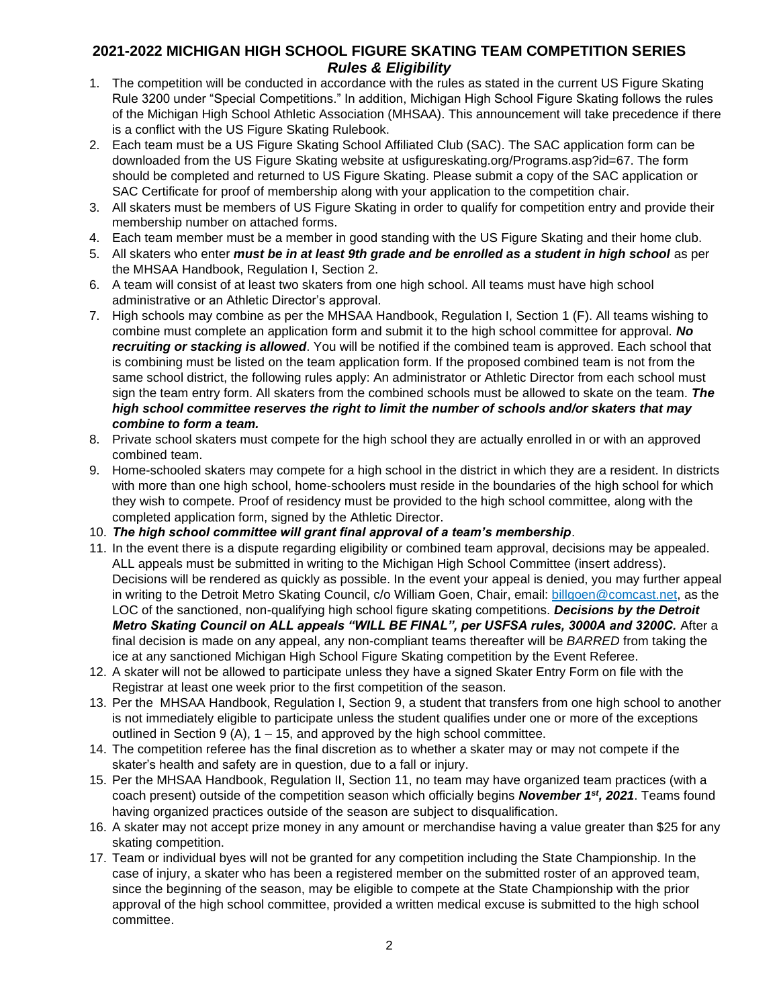### **2021-2022 MICHIGAN HIGH SCHOOL FIGURE SKATING TEAM COMPETITION SERIES** *Rules & Eligibility*

- 1. The competition will be conducted in accordance with the rules as stated in the current US Figure Skating Rule 3200 under "Special Competitions." In addition, Michigan High School Figure Skating follows the rules of the Michigan High School Athletic Association (MHSAA). This announcement will take precedence if there is a conflict with the US Figure Skating Rulebook.
- 2. Each team must be a US Figure Skating School Affiliated Club (SAC). The SAC application form can be downloaded from the US Figure Skating website at usfigureskating.org/Programs.asp?id=67. The form should be completed and returned to US Figure Skating. Please submit a copy of the SAC application or SAC Certificate for proof of membership along with your application to the competition chair.
- 3. All skaters must be members of US Figure Skating in order to qualify for competition entry and provide their membership number on attached forms.
- 4. Each team member must be a member in good standing with the US Figure Skating and their home club.
- 5. All skaters who enter *must be in at least 9th grade and be enrolled as a student in high school* as per the MHSAA Handbook, Regulation I, Section 2.
- 6. A team will consist of at least two skaters from one high school. All teams must have high school administrative or an Athletic Director's approval.
- 7. High schools may combine as per the MHSAA Handbook, Regulation I, Section 1 (F). All teams wishing to combine must complete an application form and submit it to the high school committee for approval. *No recruiting or stacking is allowed*. You will be notified if the combined team is approved. Each school that is combining must be listed on the team application form. If the proposed combined team is not from the same school district, the following rules apply: An administrator or Athletic Director from each school must sign the team entry form. All skaters from the combined schools must be allowed to skate on the team. *The high school committee reserves the right to limit the number of schools and/or skaters that may combine to form a team.*
- 8. Private school skaters must compete for the high school they are actually enrolled in or with an approved combined team.
- 9. Home-schooled skaters may compete for a high school in the district in which they are a resident. In districts with more than one high school, home-schoolers must reside in the boundaries of the high school for which they wish to compete. Proof of residency must be provided to the high school committee, along with the completed application form, signed by the Athletic Director.
- 10. *The high school committee will grant final approval of a team's membership*.
- 11. In the event there is a dispute regarding eligibility or combined team approval, decisions may be appealed. ALL appeals must be submitted in writing to the Michigan High School Committee (insert address). Decisions will be rendered as quickly as possible. In the event your appeal is denied, you may further appeal in writing to the Detroit Metro Skating Council, c/o William Goen, Chair, email: billgoen@comcast.net, as the LOC of the sanctioned, non-qualifying high school figure skating competitions. *Decisions by the Detroit Metro Skating Council on ALL appeals "WILL BE FINAL", per USFSA rules, 3000A and 3200C.* After a final decision is made on any appeal, any non-compliant teams thereafter will be *BARRED* from taking the ice at any sanctioned Michigan High School Figure Skating competition by the Event Referee.
- 12. A skater will not be allowed to participate unless they have a signed Skater Entry Form on file with the Registrar at least one week prior to the first competition of the season.
- 13. Per the MHSAA Handbook, Regulation I, Section 9, a student that transfers from one high school to another is not immediately eligible to participate unless the student qualifies under one or more of the exceptions outlined in Section 9 (A),  $1 - 15$ , and approved by the high school committee.
- 14. The competition referee has the final discretion as to whether a skater may or may not compete if the skater's health and safety are in question, due to a fall or injury.
- 15. Per the MHSAA Handbook, Regulation II, Section 11, no team may have organized team practices (with a coach present) outside of the competition season which officially begins *November 1st, 2021*. Teams found having organized practices outside of the season are subject to disqualification.
- 16. A skater may not accept prize money in any amount or merchandise having a value greater than \$25 for any skating competition.
- 17. Team or individual byes will not be granted for any competition including the State Championship. In the case of injury, a skater who has been a registered member on the submitted roster of an approved team, since the beginning of the season, may be eligible to compete at the State Championship with the prior approval of the high school committee, provided a written medical excuse is submitted to the high school committee.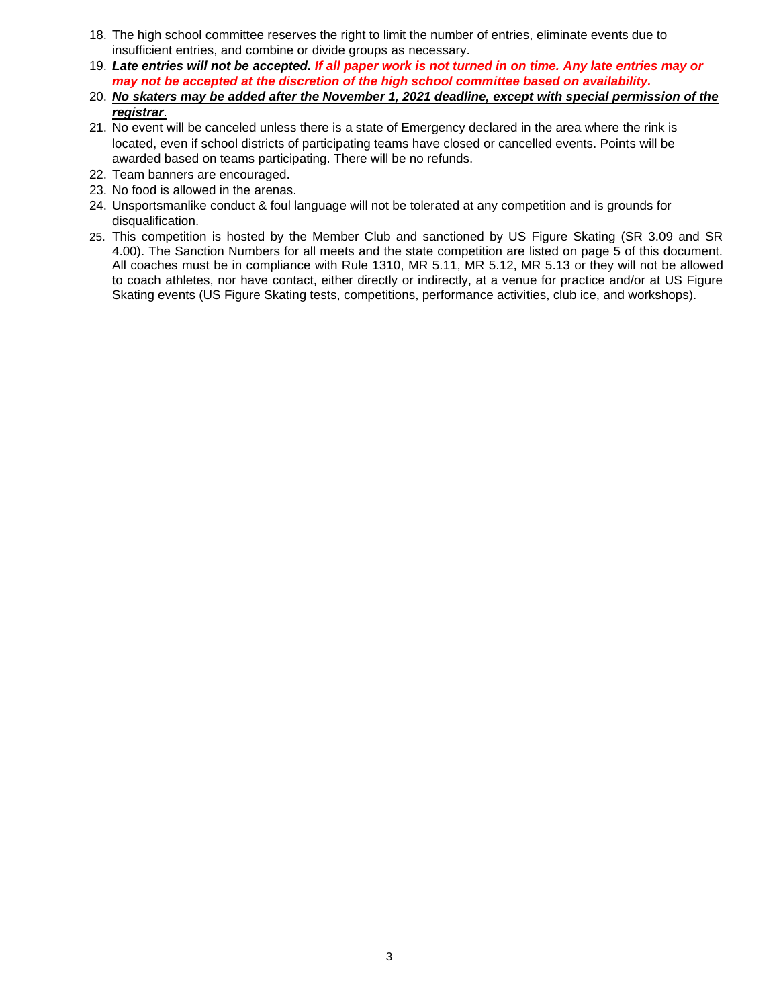- 18. The high school committee reserves the right to limit the number of entries, eliminate events due to insufficient entries, and combine or divide groups as necessary.
- 19. *Late entries will not be accepted. If all paper work is not turned in on time. Any late entries may or may not be accepted at the discretion of the high school committee based on availability.*
- 20. *No skaters may be added after the November 1, 2021 deadline, except with special permission of the registrar*.
- 21. No event will be canceled unless there is a state of Emergency declared in the area where the rink is located, even if school districts of participating teams have closed or cancelled events. Points will be awarded based on teams participating. There will be no refunds.
- 22. Team banners are encouraged.
- 23. No food is allowed in the arenas.
- 24. Unsportsmanlike conduct & foul language will not be tolerated at any competition and is grounds for disqualification.
- 25. This competition is hosted by the Member Club and sanctioned by US Figure Skating (SR 3.09 and SR 4.00). The Sanction Numbers for all meets and the state competition are listed on page 5 of this document. All coaches must be in compliance with Rule 1310, MR 5.11, MR 5.12, MR 5.13 or they will not be allowed to coach athletes, nor have contact, either directly or indirectly, at a venue for practice and/or at US Figure Skating events (US Figure Skating tests, competitions, performance activities, club ice, and workshops).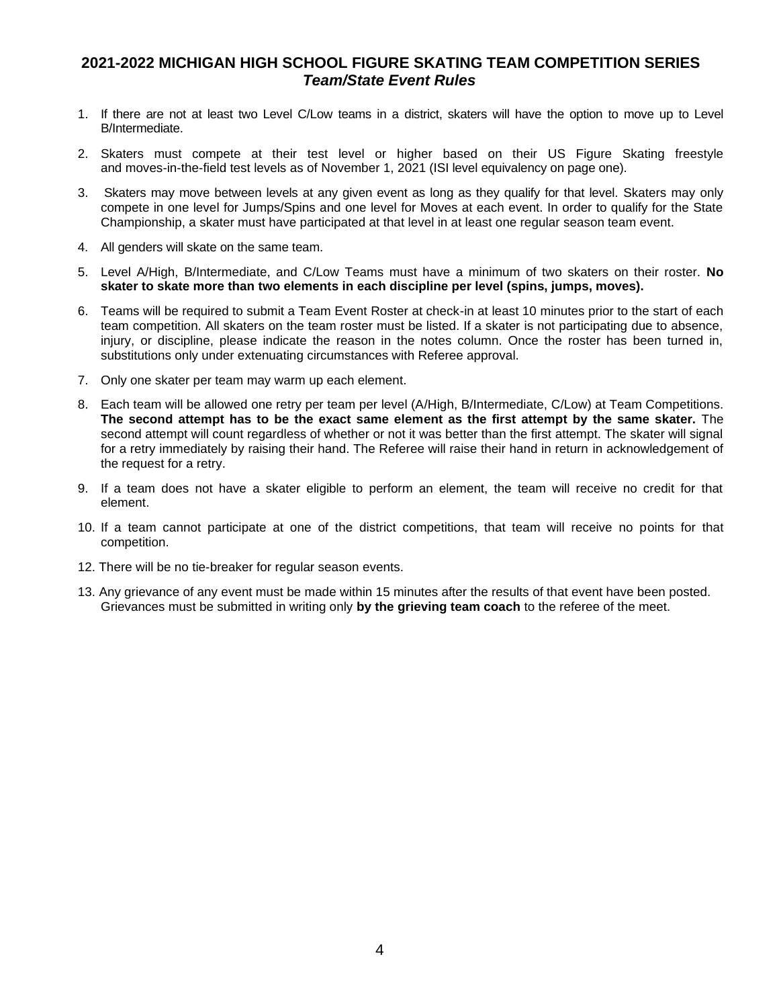## **2021-2022 MICHIGAN HIGH SCHOOL FIGURE SKATING TEAM COMPETITION SERIES** *Team/State Event Rules*

- 1. If there are not at least two Level C/Low teams in a district, skaters will have the option to move up to Level B/Intermediate.
- 2. Skaters must compete at their test level or higher based on their US Figure Skating freestyle and moves-in-the-field test levels as of November 1, 2021 (ISI level equivalency on page one).
- 3. Skaters may move between levels at any given event as long as they qualify for that level. Skaters may only compete in one level for Jumps/Spins and one level for Moves at each event. In order to qualify for the State Championship, a skater must have participated at that level in at least one regular season team event.
- 4. All genders will skate on the same team.
- 5. Level A/High, B/Intermediate, and C/Low Teams must have a minimum of two skaters on their roster. **No skater to skate more than two elements in each discipline per level (spins, jumps, moves).**
- 6. Teams will be required to submit a Team Event Roster at check-in at least 10 minutes prior to the start of each team competition. All skaters on the team roster must be listed. If a skater is not participating due to absence, injury, or discipline, please indicate the reason in the notes column. Once the roster has been turned in, substitutions only under extenuating circumstances with Referee approval.
- 7. Only one skater per team may warm up each element.
- 8. Each team will be allowed one retry per team per level (A/High, B/Intermediate, C/Low) at Team Competitions. **The second attempt has to be the exact same element as the first attempt by the same skater.** The second attempt will count regardless of whether or not it was better than the first attempt. The skater will signal for a retry immediately by raising their hand. The Referee will raise their hand in return in acknowledgement of the request for a retry.
- 9. If a team does not have a skater eligible to perform an element, the team will receive no credit for that element.
- 10. If a team cannot participate at one of the district competitions, that team will receive no points for that competition.
- 12. There will be no tie-breaker for regular season events.
- 13. Any grievance of any event must be made within 15 minutes after the results of that event have been posted. Grievances must be submitted in writing only **by the grieving team coach** to the referee of the meet.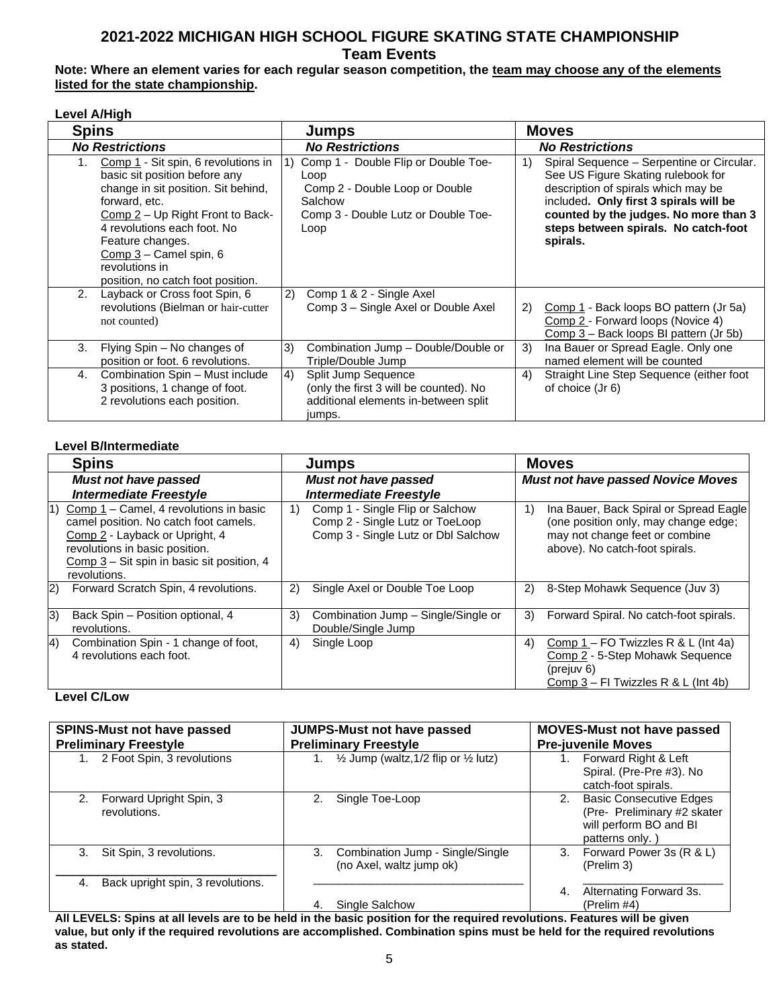# **2021-2022 MICHIGAN HIGH SCHOOL FIGURE SKATING STATE CHAMPIONSHIP Team Events**

### **Note: Where an element varies for each regular season competition, the team may choose any of the elements listed for the state championship.**

#### **Level A/High**

| <b>Spins</b>                                                                                                                                                                                                                                                                                                 | <b>Jumps</b>                                                                                                                                  | <b>Moves</b>                                                                                                                                                                                                                                                        |  |  |  |  |
|--------------------------------------------------------------------------------------------------------------------------------------------------------------------------------------------------------------------------------------------------------------------------------------------------------------|-----------------------------------------------------------------------------------------------------------------------------------------------|---------------------------------------------------------------------------------------------------------------------------------------------------------------------------------------------------------------------------------------------------------------------|--|--|--|--|
| <b>No Restrictions</b>                                                                                                                                                                                                                                                                                       | <b>No Restrictions</b>                                                                                                                        | <b>No Restrictions</b>                                                                                                                                                                                                                                              |  |  |  |  |
| Comp 1 - Sit spin, 6 revolutions in<br>1.<br>basic sit position before any<br>change in sit position. Sit behind,<br>forward, etc.<br>Comp 2 – Up Right Front to Back-<br>4 revolutions each foot. No<br>Feature changes.<br>$Comp 3 - Camel spin, 6$<br>revolutions in<br>position, no catch foot position. | Comp 1 - Double Flip or Double Toe-<br>1)<br>Loop<br>Comp 2 - Double Loop or Double<br>Salchow<br>Comp 3 - Double Lutz or Double Toe-<br>Loop | Spiral Sequence - Serpentine or Circular.<br>1)<br>See US Figure Skating rulebook for<br>description of spirals which may be<br>included. Only first 3 spirals will be<br>counted by the judges. No more than 3<br>steps between spirals. No catch-foot<br>spirals. |  |  |  |  |
| Layback or Cross foot Spin, 6<br>2.<br>revolutions (Bielman or hair-cutter<br>not counted)                                                                                                                                                                                                                   | Comp 1 & 2 - Single Axel<br>2)<br>Comp 3 – Single Axel or Double Axel                                                                         | Comp 1 - Back loops BO pattern (Jr 5a)<br>2)<br>Comp 2 - Forward loops (Novice 4)<br>Comp 3 - Back loops BI pattern (Jr 5b)                                                                                                                                         |  |  |  |  |
| 3.<br>Flying Spin – No changes of<br>position or foot. 6 revolutions.                                                                                                                                                                                                                                        | Combination Jump - Double/Double or<br>3)<br>Triple/Double Jump                                                                               | Ina Bauer or Spread Eagle. Only one<br>3)<br>named element will be counted                                                                                                                                                                                          |  |  |  |  |
| Combination Spin - Must include<br>4.<br>3 positions, 1 change of foot.<br>2 revolutions each position.                                                                                                                                                                                                      | Split Jump Sequence<br>$\vert 4 \rangle$<br>(only the first 3 will be counted). No<br>additional elements in-between split<br>jumps.          | 4)<br>Straight Line Step Sequence (either foot<br>of choice (Jr 6)                                                                                                                                                                                                  |  |  |  |  |

### **Level B/Intermediate**

| <b>Spins</b>                                                                                                                                                                                                                      | Jumps                                                                                                           | <b>Moves</b>                                                                                                                                             |
|-----------------------------------------------------------------------------------------------------------------------------------------------------------------------------------------------------------------------------------|-----------------------------------------------------------------------------------------------------------------|----------------------------------------------------------------------------------------------------------------------------------------------------------|
| <b>Must not have passed</b><br><b>Intermediate Freestyle</b>                                                                                                                                                                      | <b>Must not have passed</b><br><b>Intermediate Freestyle</b>                                                    | <b>Must not have passed Novice Moves</b>                                                                                                                 |
| $\vert$ 1)<br>Comp $1$ – Camel, 4 revolutions in basic<br>camel position. No catch foot camels.<br>Comp 2 - Layback or Upright, 4<br>revolutions in basic position.<br>Comp 3 - Sit spin in basic sit position, 4<br>revolutions. | Comp 1 - Single Flip or Salchow<br>1)<br>Comp 2 - Single Lutz or ToeLoop<br>Comp 3 - Single Lutz or Dbl Salchow | Ina Bauer, Back Spiral or Spread Eagle<br>1)<br>(one position only, may change edge;<br>may not change feet or combine<br>above). No catch-foot spirals. |
| 2)<br>Forward Scratch Spin, 4 revolutions.                                                                                                                                                                                        | 2)<br>Single Axel or Double Toe Loop                                                                            | 8-Step Mohawk Sequence (Juv 3)<br>2)                                                                                                                     |
| 3)<br>Back Spin - Position optional, 4<br>revolutions.                                                                                                                                                                            | 3)<br>Combination Jump - Single/Single or<br>Double/Single Jump                                                 | Forward Spiral. No catch-foot spirals.<br>3)                                                                                                             |
| 4)<br>Combination Spin - 1 change of foot,<br>4 revolutions each foot.                                                                                                                                                            | Single Loop<br>4)                                                                                               | Comp $1 - FO$ Twizzles R & L (Int 4a)<br>4)<br>Comp 2 - 5-Step Mohawk Sequence<br>(prejuv 6)<br>Comp $3 - FI$ Twizzles R & L (Int 4b)                    |

### **Level C/Low**

| <b>SPINS-Must not have passed</b><br><b>Preliminary Freestyle</b> |                                            |    | JUMPS-Must not have passed<br><b>Preliminary Freestyle</b>    | <b>MOVES-Must not have passed</b><br><b>Pre-juvenile Moves</b> |                                                                                                            |  |  |  |
|-------------------------------------------------------------------|--------------------------------------------|----|---------------------------------------------------------------|----------------------------------------------------------------|------------------------------------------------------------------------------------------------------------|--|--|--|
|                                                                   | 2 Foot Spin, 3 revolutions                 |    | 1. $\frac{1}{2}$ Jump (waltz, 1/2 flip or $\frac{1}{2}$ lutz) |                                                                | Forward Right & Left<br>Spiral. (Pre-Pre #3). No<br>catch-foot spirals.                                    |  |  |  |
|                                                                   | 2. Forward Upright Spin, 3<br>revolutions. | 2. | Single Toe-Loop                                               | 2.                                                             | <b>Basic Consecutive Edges</b><br>(Pre- Preliminary #2 skater<br>will perform BO and BI<br>patterns only.) |  |  |  |
| 3.                                                                | Sit Spin, 3 revolutions.                   | 3. | Combination Jump - Single/Single<br>(no Axel, waltz jump ok)  | 3.                                                             | Forward Power 3s (R & L)<br>(Prelim 3)                                                                     |  |  |  |
| 4.                                                                | Back upright spin, 3 revolutions.          |    | Single Salchow                                                | 4.                                                             | Alternating Forward 3s.<br>(Prelim #4)                                                                     |  |  |  |

**All LEVELS: Spins at all levels are to be held in the basic position for the required revolutions. Features will be given value, but only if the required revolutions are accomplished. Combination spins must be held for the required revolutions as stated.**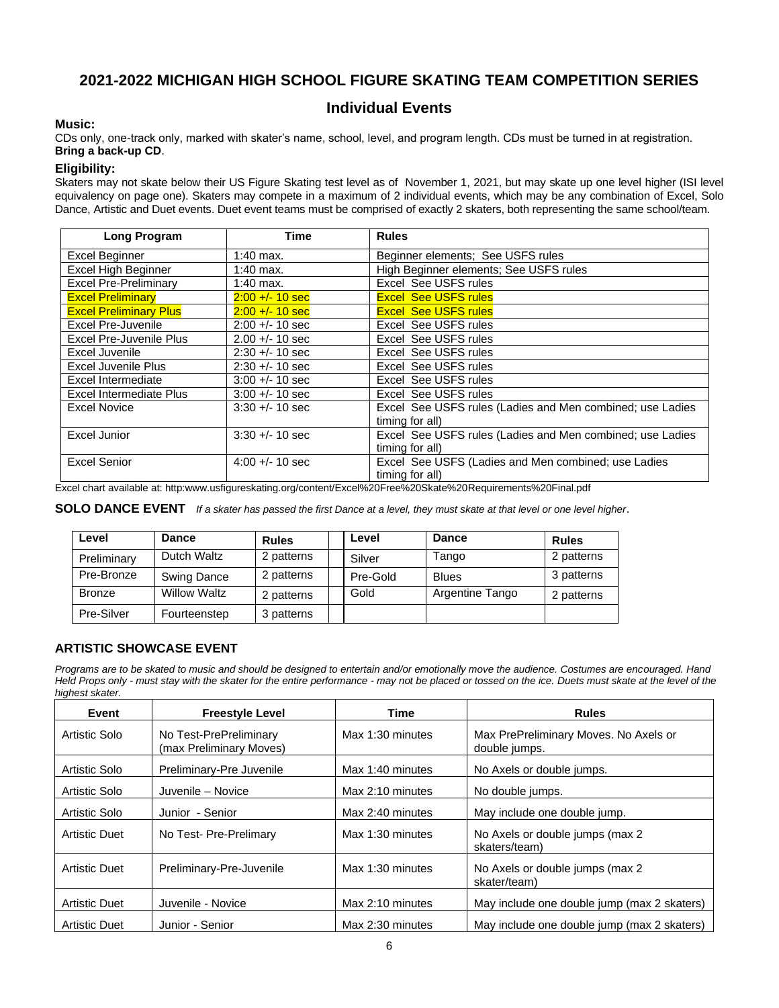# **2021-2022 MICHIGAN HIGH SCHOOL FIGURE SKATING TEAM COMPETITION SERIES**

## **Individual Events**

#### **Music:**

CDs only, one-track only, marked with skater's name, school, level, and program length. CDs must be turned in at registration. **Bring a back-up CD**.

#### **Eligibility:**

Skaters may not skate below their US Figure Skating test level as of November 1, 2021, but may skate up one level higher (ISI level equivalency on page one). Skaters may compete in a maximum of 2 individual events, which may be any combination of Excel, Solo Dance, Artistic and Duet events. Duet event teams must be comprised of exactly 2 skaters, both representing the same school/team.

| <b>Long Program</b>            | Time              | <b>Rules</b>                                              |
|--------------------------------|-------------------|-----------------------------------------------------------|
| Excel Beginner                 | 1:40 max.         | Beginner elements; See USFS rules                         |
| Excel High Beginner            | 1:40 max.         | High Beginner elements; See USFS rules                    |
| <b>Excel Pre-Preliminary</b>   | $1:40$ max.       | Excel See USFS rules                                      |
| <b>Excel Preliminary</b>       | $2:00 + 10$ sec   | <b>Excel See USFS rules</b>                               |
| <b>Excel Preliminary Plus</b>  | $2:00 + 10$ sec   | <b>Excel See USFS rules</b>                               |
| <b>Excel Pre-Juvenile</b>      | $2:00 +/- 10$ sec | Excel See USFS rules                                      |
| Excel Pre-Juvenile Plus        | $2.00 +/- 10$ sec | Excel See USFS rules                                      |
| Excel Juvenile                 | $2:30 +/- 10$ sec | Excel See USFS rules                                      |
| Excel Juvenile Plus            | $2:30 +/- 10$ sec | Excel See USFS rules                                      |
| Excel Intermediate             | $3:00 +/- 10$ sec | Excel See USFS rules                                      |
| <b>Excel Intermediate Plus</b> | $3:00 +/- 10$ sec | Excel See USFS rules                                      |
| <b>Excel Novice</b>            | $3:30 +/- 10$ sec | Excel See USFS rules (Ladies and Men combined; use Ladies |
|                                |                   | timing for all)                                           |
| <b>Excel Junior</b>            | $3:30 +/- 10$ sec | Excel See USFS rules (Ladies and Men combined; use Ladies |
|                                |                   | timing for all)                                           |
| <b>Excel Senior</b>            | $4:00 + - 10$ sec | Excel See USFS (Ladies and Men combined; use Ladies       |
|                                |                   | timing for all)                                           |

Excel chart available at: http:www.usfigureskating.org/content/Excel%20Free%20Skate%20Requirements%20Final.pdf

**SOLO DANCE EVENT** *If a skater has passed the first Dance at a level, they must skate at that level or one level higher*.

| Level         | <b>Dance</b>       | <b>Rules</b> | Level    | <b>Dance</b>    | <b>Rules</b> |
|---------------|--------------------|--------------|----------|-----------------|--------------|
| Preliminary   | Dutch Waltz        | 2 patterns   | Silver   | Tango           | 2 patterns   |
| Pre-Bronze    | <b>Swing Dance</b> | 2 patterns   | Pre-Gold | <b>Blues</b>    | 3 patterns   |
| <b>Bronze</b> | Willow Waltz       | 2 patterns   | Gold     | Argentine Tango | 2 patterns   |
| Pre-Silver    | Fourteenstep       | 3 patterns   |          |                 |              |

#### **ARTISTIC SHOWCASE EVENT**

*Programs are to be skated to music and should be designed to entertain and/or emotionally move the audience. Costumes are encouraged. Hand Held Props only - must stay with the skater for the entire performance - may not be placed or tossed on the ice. Duets must skate at the level of the highest skater.*

| Event                | <b>Freestyle Level</b>                            | <b>Time</b>        | <b>Rules</b>                                           |
|----------------------|---------------------------------------------------|--------------------|--------------------------------------------------------|
| Artistic Solo        | No Test-PrePreliminary<br>(max Preliminary Moves) | Max 1:30 minutes   | Max PrePreliminary Moves. No Axels or<br>double jumps. |
| Artistic Solo        | Preliminary-Pre Juvenile                          | Max 1:40 minutes   | No Axels or double jumps.                              |
| Artistic Solo        | Juvenile - Novice                                 | Max 2:10 minutes   | No double jumps.                                       |
| Artistic Solo        | Junior - Senior                                   | Max 2:40 minutes   | May include one double jump.                           |
| <b>Artistic Duet</b> | No Test- Pre-Prelimary                            | Max $1:30$ minutes | No Axels or double jumps (max 2<br>skaters/team)       |
| <b>Artistic Duet</b> | Preliminary-Pre-Juvenile                          | Max 1:30 minutes   | No Axels or double jumps (max 2)<br>skater/team)       |
| <b>Artistic Duet</b> | Juvenile - Novice                                 | Max 2:10 minutes   | May include one double jump (max 2 skaters)            |
| <b>Artistic Duet</b> | Junior - Senior                                   | Max 2:30 minutes   | May include one double jump (max 2 skaters)            |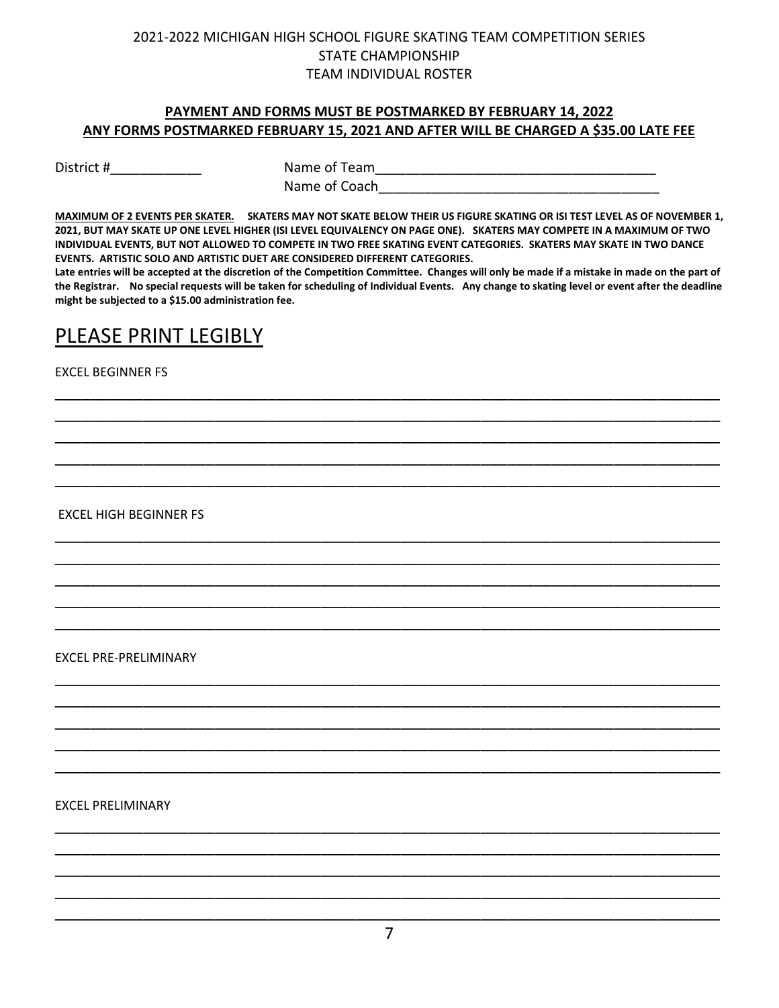### **PAYMENT AND FORMS MUST BE POSTMARKED BY FEBRUARY 14, 2022 ANY FORMS POSTMARKED FEBRUARY 15, 2021 AND AFTER WILL BE CHARGED A \$35.00 LATE FEE**

District # 1.1 million 2.1 million Name of Team 1.1 million 2.1 million 2.1 million 2.1 million 2.1 million 2. Name of Coach

**MAXIMUM OF 2 EVENTS PER SKATER. SKATERS MAY NOT SKATE BELOW THEIR US FIGURE SKATING OR ISI TEST LEVEL AS OF NOVEMBER 1, 2021, BUT MAY SKATE UP ONE LEVEL HIGHER (ISI LEVEL EQUIVALENCY ON PAGE ONE). SKATERS MAY COMPETE IN A MAXIMUM OF TWO INDIVIDUAL EVENTS, BUT NOT ALLOWED TO COMPETE IN TWO FREE SKATING EVENT CATEGORIES. SKATERS MAY SKATE IN TWO DANCE EVENTS. ARTISTIC SOLO AND ARTISTIC DUET ARE CONSIDERED DIFFERENT CATEGORIES.** 

**Late entries will be accepted at the discretion of the Competition Committee. Changes will only be made if a mistake in made on the part of the Registrar. No special requests will be taken for scheduling of Individual Events. Any change to skating level or event after the deadline might be subjected to a \$15.00 administration fee.** 

\_\_\_\_\_\_\_\_\_\_\_\_\_\_\_\_\_\_\_\_\_\_\_\_\_\_\_\_\_\_\_\_\_\_\_\_\_\_\_\_\_\_\_\_\_\_\_\_\_\_\_\_\_\_\_\_\_\_\_\_\_\_\_\_\_\_\_\_\_\_\_\_\_\_\_ \_\_\_\_\_\_\_\_\_\_\_\_\_\_\_\_\_\_\_\_\_\_\_\_\_\_\_\_\_\_\_\_\_\_\_\_\_\_\_\_\_\_\_\_\_\_\_\_\_\_\_\_\_\_\_\_\_\_\_\_\_\_\_\_\_\_\_\_\_\_\_\_\_\_\_ \_\_\_\_\_\_\_\_\_\_\_\_\_\_\_\_\_\_\_\_\_\_\_\_\_\_\_\_\_\_\_\_\_\_\_\_\_\_\_\_\_\_\_\_\_\_\_\_\_\_\_\_\_\_\_\_\_\_\_\_\_\_\_\_\_\_\_\_\_\_\_\_\_\_\_ \_\_\_\_\_\_\_\_\_\_\_\_\_\_\_\_\_\_\_\_\_\_\_\_\_\_\_\_\_\_\_\_\_\_\_\_\_\_\_\_\_\_\_\_\_\_\_\_\_\_\_\_\_\_\_\_\_\_\_\_\_\_\_\_\_\_\_\_\_\_\_\_\_\_\_ \_\_\_\_\_\_\_\_\_\_\_\_\_\_\_\_\_\_\_\_\_\_\_\_\_\_\_\_\_\_\_\_\_\_\_\_\_\_\_\_\_\_\_\_\_\_\_\_\_\_\_\_\_\_\_\_\_\_\_\_\_\_\_\_\_\_\_\_\_\_\_\_\_\_\_

\_\_\_\_\_\_\_\_\_\_\_\_\_\_\_\_\_\_\_\_\_\_\_\_\_\_\_\_\_\_\_\_\_\_\_\_\_\_\_\_\_\_\_\_\_\_\_\_\_\_\_\_\_\_\_\_\_\_\_\_\_\_\_\_\_\_\_\_\_\_\_\_\_\_\_ \_\_\_\_\_\_\_\_\_\_\_\_\_\_\_\_\_\_\_\_\_\_\_\_\_\_\_\_\_\_\_\_\_\_\_\_\_\_\_\_\_\_\_\_\_\_\_\_\_\_\_\_\_\_\_\_\_\_\_\_\_\_\_\_\_\_\_\_\_\_\_\_\_\_\_ \_\_\_\_\_\_\_\_\_\_\_\_\_\_\_\_\_\_\_\_\_\_\_\_\_\_\_\_\_\_\_\_\_\_\_\_\_\_\_\_\_\_\_\_\_\_\_\_\_\_\_\_\_\_\_\_\_\_\_\_\_\_\_\_\_\_\_\_\_\_\_\_\_\_\_ \_\_\_\_\_\_\_\_\_\_\_\_\_\_\_\_\_\_\_\_\_\_\_\_\_\_\_\_\_\_\_\_\_\_\_\_\_\_\_\_\_\_\_\_\_\_\_\_\_\_\_\_\_\_\_\_\_\_\_\_\_\_\_\_\_\_\_\_\_\_\_\_\_\_\_ \_\_\_\_\_\_\_\_\_\_\_\_\_\_\_\_\_\_\_\_\_\_\_\_\_\_\_\_\_\_\_\_\_\_\_\_\_\_\_\_\_\_\_\_\_\_\_\_\_\_\_\_\_\_\_\_\_\_\_\_\_\_\_\_\_\_\_\_\_\_\_\_\_\_\_

\_\_\_\_\_\_\_\_\_\_\_\_\_\_\_\_\_\_\_\_\_\_\_\_\_\_\_\_\_\_\_\_\_\_\_\_\_\_\_\_\_\_\_\_\_\_\_\_\_\_\_\_\_\_\_\_\_\_\_\_\_\_\_\_\_\_\_\_\_\_\_\_\_\_\_ \_\_\_\_\_\_\_\_\_\_\_\_\_\_\_\_\_\_\_\_\_\_\_\_\_\_\_\_\_\_\_\_\_\_\_\_\_\_\_\_\_\_\_\_\_\_\_\_\_\_\_\_\_\_\_\_\_\_\_\_\_\_\_\_\_\_\_\_\_\_\_\_\_\_\_ \_\_\_\_\_\_\_\_\_\_\_\_\_\_\_\_\_\_\_\_\_\_\_\_\_\_\_\_\_\_\_\_\_\_\_\_\_\_\_\_\_\_\_\_\_\_\_\_\_\_\_\_\_\_\_\_\_\_\_\_\_\_\_\_\_\_\_\_\_\_\_\_\_\_\_ \_\_\_\_\_\_\_\_\_\_\_\_\_\_\_\_\_\_\_\_\_\_\_\_\_\_\_\_\_\_\_\_\_\_\_\_\_\_\_\_\_\_\_\_\_\_\_\_\_\_\_\_\_\_\_\_\_\_\_\_\_\_\_\_\_\_\_\_\_\_\_\_\_\_\_ \_\_\_\_\_\_\_\_\_\_\_\_\_\_\_\_\_\_\_\_\_\_\_\_\_\_\_\_\_\_\_\_\_\_\_\_\_\_\_\_\_\_\_\_\_\_\_\_\_\_\_\_\_\_\_\_\_\_\_\_\_\_\_\_\_\_\_\_\_\_\_\_\_\_\_

# PLEASE PRINT LEGIBLY

EXCEL BEGINNER FS

EXCEL HIGH BEGINNER FS

EXCEL PRE-PRELIMINARY

EXCEL PRELIMINARY

\_\_\_\_\_\_\_\_\_\_\_\_\_\_\_\_\_\_\_\_\_\_\_\_\_\_\_\_\_\_\_\_\_\_\_\_\_\_\_\_\_\_\_\_\_\_\_\_\_\_\_\_\_\_\_\_\_\_\_\_\_\_\_\_\_\_\_\_\_\_\_\_\_\_\_ \_\_\_\_\_\_\_\_\_\_\_\_\_\_\_\_\_\_\_\_\_\_\_\_\_\_\_\_\_\_\_\_\_\_\_\_\_\_\_\_\_\_\_\_\_\_\_\_\_\_\_\_\_\_\_\_\_\_\_\_\_\_\_\_\_\_\_\_\_\_\_\_\_\_\_ \_\_\_\_\_\_\_\_\_\_\_\_\_\_\_\_\_\_\_\_\_\_\_\_\_\_\_\_\_\_\_\_\_\_\_\_\_\_\_\_\_\_\_\_\_\_\_\_\_\_\_\_\_\_\_\_\_\_\_\_\_\_\_\_\_\_\_\_\_\_\_\_\_\_\_ \_\_\_\_\_\_\_\_\_\_\_\_\_\_\_\_\_\_\_\_\_\_\_\_\_\_\_\_\_\_\_\_\_\_\_\_\_\_\_\_\_\_\_\_\_\_\_\_\_\_\_\_\_\_\_\_\_\_\_\_\_\_\_\_\_\_\_\_\_\_\_\_\_\_\_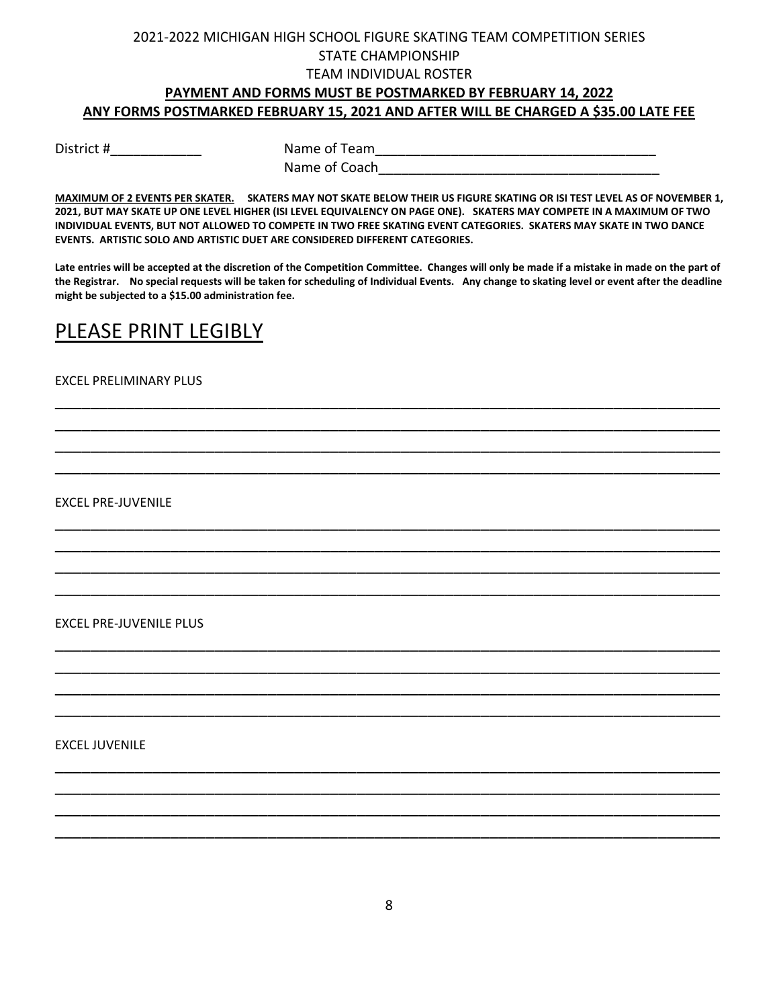## **PAYMENT AND FORMS MUST BE POSTMARKED BY FEBRUARY 14, 2022 ANY FORMS POSTMARKED FEBRUARY 15, 2021 AND AFTER WILL BE CHARGED A \$35.00 LATE FEE**

District #\_\_\_\_\_\_\_\_\_\_\_\_ Name of Team\_\_\_\_\_\_\_\_\_\_\_\_\_\_\_\_\_\_\_\_\_\_\_\_\_\_\_\_\_\_\_\_\_\_\_\_\_ Name of Coach

**MAXIMUM OF 2 EVENTS PER SKATER. SKATERS MAY NOT SKATE BELOW THEIR US FIGURE SKATING OR ISI TEST LEVEL AS OF NOVEMBER 1, 2021, BUT MAY SKATE UP ONE LEVEL HIGHER (ISI LEVEL EQUIVALENCY ON PAGE ONE). SKATERS MAY COMPETE IN A MAXIMUM OF TWO INDIVIDUAL EVENTS, BUT NOT ALLOWED TO COMPETE IN TWO FREE SKATING EVENT CATEGORIES. SKATERS MAY SKATE IN TWO DANCE EVENTS. ARTISTIC SOLO AND ARTISTIC DUET ARE CONSIDERED DIFFERENT CATEGORIES.** 

**Late entries will be accepted at the discretion of the Competition Committee. Changes will only be made if a mistake in made on the part of the Registrar. No special requests will be taken for scheduling of Individual Events. Any change to skating level or event after the deadline might be subjected to a \$15.00 administration fee.** 

\_\_\_\_\_\_\_\_\_\_\_\_\_\_\_\_\_\_\_\_\_\_\_\_\_\_\_\_\_\_\_\_\_\_\_\_\_\_\_\_\_\_\_\_\_\_\_\_\_\_\_\_\_\_\_\_\_\_\_\_\_\_\_\_\_\_\_\_\_\_\_\_\_\_\_ \_\_\_\_\_\_\_\_\_\_\_\_\_\_\_\_\_\_\_\_\_\_\_\_\_\_\_\_\_\_\_\_\_\_\_\_\_\_\_\_\_\_\_\_\_\_\_\_\_\_\_\_\_\_\_\_\_\_\_\_\_\_\_\_\_\_\_\_\_\_\_\_\_\_\_ \_\_\_\_\_\_\_\_\_\_\_\_\_\_\_\_\_\_\_\_\_\_\_\_\_\_\_\_\_\_\_\_\_\_\_\_\_\_\_\_\_\_\_\_\_\_\_\_\_\_\_\_\_\_\_\_\_\_\_\_\_\_\_\_\_\_\_\_\_\_\_\_\_\_\_ \_\_\_\_\_\_\_\_\_\_\_\_\_\_\_\_\_\_\_\_\_\_\_\_\_\_\_\_\_\_\_\_\_\_\_\_\_\_\_\_\_\_\_\_\_\_\_\_\_\_\_\_\_\_\_\_\_\_\_\_\_\_\_\_\_\_\_\_\_\_\_\_\_\_\_

\_\_\_\_\_\_\_\_\_\_\_\_\_\_\_\_\_\_\_\_\_\_\_\_\_\_\_\_\_\_\_\_\_\_\_\_\_\_\_\_\_\_\_\_\_\_\_\_\_\_\_\_\_\_\_\_\_\_\_\_\_\_\_\_\_\_\_\_\_\_\_\_\_\_\_ \_\_\_\_\_\_\_\_\_\_\_\_\_\_\_\_\_\_\_\_\_\_\_\_\_\_\_\_\_\_\_\_\_\_\_\_\_\_\_\_\_\_\_\_\_\_\_\_\_\_\_\_\_\_\_\_\_\_\_\_\_\_\_\_\_\_\_\_\_\_\_\_\_\_\_ \_\_\_\_\_\_\_\_\_\_\_\_\_\_\_\_\_\_\_\_\_\_\_\_\_\_\_\_\_\_\_\_\_\_\_\_\_\_\_\_\_\_\_\_\_\_\_\_\_\_\_\_\_\_\_\_\_\_\_\_\_\_\_\_\_\_\_\_\_\_\_\_\_\_\_ \_\_\_\_\_\_\_\_\_\_\_\_\_\_\_\_\_\_\_\_\_\_\_\_\_\_\_\_\_\_\_\_\_\_\_\_\_\_\_\_\_\_\_\_\_\_\_\_\_\_\_\_\_\_\_\_\_\_\_\_\_\_\_\_\_\_\_\_\_\_\_\_\_\_\_

\_\_\_\_\_\_\_\_\_\_\_\_\_\_\_\_\_\_\_\_\_\_\_\_\_\_\_\_\_\_\_\_\_\_\_\_\_\_\_\_\_\_\_\_\_\_\_\_\_\_\_\_\_\_\_\_\_\_\_\_\_\_\_\_\_\_\_\_\_\_\_\_\_\_\_ \_\_\_\_\_\_\_\_\_\_\_\_\_\_\_\_\_\_\_\_\_\_\_\_\_\_\_\_\_\_\_\_\_\_\_\_\_\_\_\_\_\_\_\_\_\_\_\_\_\_\_\_\_\_\_\_\_\_\_\_\_\_\_\_\_\_\_\_\_\_\_\_\_\_\_ \_\_\_\_\_\_\_\_\_\_\_\_\_\_\_\_\_\_\_\_\_\_\_\_\_\_\_\_\_\_\_\_\_\_\_\_\_\_\_\_\_\_\_\_\_\_\_\_\_\_\_\_\_\_\_\_\_\_\_\_\_\_\_\_\_\_\_\_\_\_\_\_\_\_\_ \_\_\_\_\_\_\_\_\_\_\_\_\_\_\_\_\_\_\_\_\_\_\_\_\_\_\_\_\_\_\_\_\_\_\_\_\_\_\_\_\_\_\_\_\_\_\_\_\_\_\_\_\_\_\_\_\_\_\_\_\_\_\_\_\_\_\_\_\_\_\_\_\_\_\_

\_\_\_\_\_\_\_\_\_\_\_\_\_\_\_\_\_\_\_\_\_\_\_\_\_\_\_\_\_\_\_\_\_\_\_\_\_\_\_\_\_\_\_\_\_\_\_\_\_\_\_\_\_\_\_\_\_\_\_\_\_\_\_\_\_\_\_\_\_\_\_\_\_\_\_ \_\_\_\_\_\_\_\_\_\_\_\_\_\_\_\_\_\_\_\_\_\_\_\_\_\_\_\_\_\_\_\_\_\_\_\_\_\_\_\_\_\_\_\_\_\_\_\_\_\_\_\_\_\_\_\_\_\_\_\_\_\_\_\_\_\_\_\_\_\_\_\_\_\_\_ \_\_\_\_\_\_\_\_\_\_\_\_\_\_\_\_\_\_\_\_\_\_\_\_\_\_\_\_\_\_\_\_\_\_\_\_\_\_\_\_\_\_\_\_\_\_\_\_\_\_\_\_\_\_\_\_\_\_\_\_\_\_\_\_\_\_\_\_\_\_\_\_\_\_\_ \_\_\_\_\_\_\_\_\_\_\_\_\_\_\_\_\_\_\_\_\_\_\_\_\_\_\_\_\_\_\_\_\_\_\_\_\_\_\_\_\_\_\_\_\_\_\_\_\_\_\_\_\_\_\_\_\_\_\_\_\_\_\_\_\_\_\_\_\_\_\_\_\_\_\_

# PLEASE PRINT LEGIBLY

### EXCEL PRELIMINARY PLUS

EXCEL PRE-JUVENILE

EXCEL PRE-JUVENILE PLUS

EXCEL JUVENILE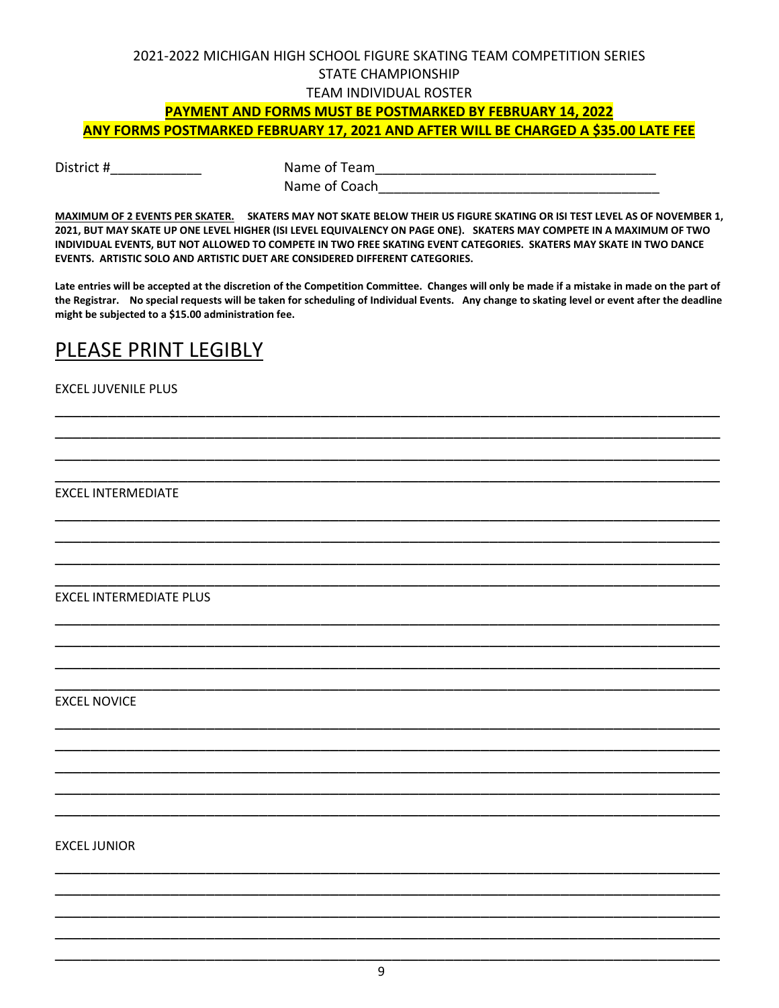# 2021-2022 MICHIGAN HIGH SCHOOL FIGURE SKATING TEAM COMPETITION SERIES STATE CHAMPIONSHIP

### TEAM INDIVIDUAL ROSTER

# **PAYMENT AND FORMS MUST BE POSTMARKED BY FEBRUARY 14, 2022**

**ANY FORMS POSTMARKED FEBRUARY 17, 2021 AND AFTER WILL BE CHARGED A \$35.00 LATE FEE**

District #\_\_\_\_\_\_\_\_\_\_\_\_ Name of Team\_\_\_\_\_\_\_\_\_\_\_\_\_\_\_\_\_\_\_\_\_\_\_\_\_\_\_\_\_\_\_\_\_\_\_\_\_ Name of Coach

**MAXIMUM OF 2 EVENTS PER SKATER. SKATERS MAY NOT SKATE BELOW THEIR US FIGURE SKATING OR ISI TEST LEVEL AS OF NOVEMBER 1, 2021, BUT MAY SKATE UP ONE LEVEL HIGHER (ISI LEVEL EQUIVALENCY ON PAGE ONE). SKATERS MAY COMPETE IN A MAXIMUM OF TWO INDIVIDUAL EVENTS, BUT NOT ALLOWED TO COMPETE IN TWO FREE SKATING EVENT CATEGORIES. SKATERS MAY SKATE IN TWO DANCE EVENTS. ARTISTIC SOLO AND ARTISTIC DUET ARE CONSIDERED DIFFERENT CATEGORIES.** 

**Late entries will be accepted at the discretion of the Competition Committee. Changes will only be made if a mistake in made on the part of the Registrar. No special requests will be taken for scheduling of Individual Events. Any change to skating level or event after the deadline might be subjected to a \$15.00 administration fee.** 

\_\_\_\_\_\_\_\_\_\_\_\_\_\_\_\_\_\_\_\_\_\_\_\_\_\_\_\_\_\_\_\_\_\_\_\_\_\_\_\_\_\_\_\_\_\_\_\_\_\_\_\_\_\_\_\_\_\_\_\_\_\_\_\_\_\_\_\_\_\_\_\_\_\_\_ \_\_\_\_\_\_\_\_\_\_\_\_\_\_\_\_\_\_\_\_\_\_\_\_\_\_\_\_\_\_\_\_\_\_\_\_\_\_\_\_\_\_\_\_\_\_\_\_\_\_\_\_\_\_\_\_\_\_\_\_\_\_\_\_\_\_\_\_\_\_\_\_\_\_\_ \_\_\_\_\_\_\_\_\_\_\_\_\_\_\_\_\_\_\_\_\_\_\_\_\_\_\_\_\_\_\_\_\_\_\_\_\_\_\_\_\_\_\_\_\_\_\_\_\_\_\_\_\_\_\_\_\_\_\_\_\_\_\_\_\_\_\_\_\_\_\_\_\_\_\_ \_\_\_\_\_\_\_\_\_\_\_\_\_\_\_\_\_\_\_\_\_\_\_\_\_\_\_\_\_\_\_\_\_\_\_\_\_\_\_\_\_\_\_\_\_\_\_\_\_\_\_\_\_\_\_\_\_\_\_\_\_\_\_\_\_\_\_\_\_\_\_\_\_\_\_

\_\_\_\_\_\_\_\_\_\_\_\_\_\_\_\_\_\_\_\_\_\_\_\_\_\_\_\_\_\_\_\_\_\_\_\_\_\_\_\_\_\_\_\_\_\_\_\_\_\_\_\_\_\_\_\_\_\_\_\_\_\_\_\_\_\_\_\_\_\_\_\_\_\_\_ \_\_\_\_\_\_\_\_\_\_\_\_\_\_\_\_\_\_\_\_\_\_\_\_\_\_\_\_\_\_\_\_\_\_\_\_\_\_\_\_\_\_\_\_\_\_\_\_\_\_\_\_\_\_\_\_\_\_\_\_\_\_\_\_\_\_\_\_\_\_\_\_\_\_\_ \_\_\_\_\_\_\_\_\_\_\_\_\_\_\_\_\_\_\_\_\_\_\_\_\_\_\_\_\_\_\_\_\_\_\_\_\_\_\_\_\_\_\_\_\_\_\_\_\_\_\_\_\_\_\_\_\_\_\_\_\_\_\_\_\_\_\_\_\_\_\_\_\_\_\_ \_\_\_\_\_\_\_\_\_\_\_\_\_\_\_\_\_\_\_\_\_\_\_\_\_\_\_\_\_\_\_\_\_\_\_\_\_\_\_\_\_\_\_\_\_\_\_\_\_\_\_\_\_\_\_\_\_\_\_\_\_\_\_\_\_\_\_\_\_\_\_\_\_\_\_

\_\_\_\_\_\_\_\_\_\_\_\_\_\_\_\_\_\_\_\_\_\_\_\_\_\_\_\_\_\_\_\_\_\_\_\_\_\_\_\_\_\_\_\_\_\_\_\_\_\_\_\_\_\_\_\_\_\_\_\_\_\_\_\_\_\_\_\_\_\_\_\_\_\_\_ \_\_\_\_\_\_\_\_\_\_\_\_\_\_\_\_\_\_\_\_\_\_\_\_\_\_\_\_\_\_\_\_\_\_\_\_\_\_\_\_\_\_\_\_\_\_\_\_\_\_\_\_\_\_\_\_\_\_\_\_\_\_\_\_\_\_\_\_\_\_\_\_\_\_\_ \_\_\_\_\_\_\_\_\_\_\_\_\_\_\_\_\_\_\_\_\_\_\_\_\_\_\_\_\_\_\_\_\_\_\_\_\_\_\_\_\_\_\_\_\_\_\_\_\_\_\_\_\_\_\_\_\_\_\_\_\_\_\_\_\_\_\_\_\_\_\_\_\_\_\_ \_\_\_\_\_\_\_\_\_\_\_\_\_\_\_\_\_\_\_\_\_\_\_\_\_\_\_\_\_\_\_\_\_\_\_\_\_\_\_\_\_\_\_\_\_\_\_\_\_\_\_\_\_\_\_\_\_\_\_\_\_\_\_\_\_\_\_\_\_\_\_\_\_\_\_

\_\_\_\_\_\_\_\_\_\_\_\_\_\_\_\_\_\_\_\_\_\_\_\_\_\_\_\_\_\_\_\_\_\_\_\_\_\_\_\_\_\_\_\_\_\_\_\_\_\_\_\_\_\_\_\_\_\_\_\_\_\_\_\_\_\_\_\_\_\_\_\_\_\_\_ \_\_\_\_\_\_\_\_\_\_\_\_\_\_\_\_\_\_\_\_\_\_\_\_\_\_\_\_\_\_\_\_\_\_\_\_\_\_\_\_\_\_\_\_\_\_\_\_\_\_\_\_\_\_\_\_\_\_\_\_\_\_\_\_\_\_\_\_\_\_\_\_\_\_\_ \_\_\_\_\_\_\_\_\_\_\_\_\_\_\_\_\_\_\_\_\_\_\_\_\_\_\_\_\_\_\_\_\_\_\_\_\_\_\_\_\_\_\_\_\_\_\_\_\_\_\_\_\_\_\_\_\_\_\_\_\_\_\_\_\_\_\_\_\_\_\_\_\_\_\_ \_\_\_\_\_\_\_\_\_\_\_\_\_\_\_\_\_\_\_\_\_\_\_\_\_\_\_\_\_\_\_\_\_\_\_\_\_\_\_\_\_\_\_\_\_\_\_\_\_\_\_\_\_\_\_\_\_\_\_\_\_\_\_\_\_\_\_\_\_\_\_\_\_\_\_ \_\_\_\_\_\_\_\_\_\_\_\_\_\_\_\_\_\_\_\_\_\_\_\_\_\_\_\_\_\_\_\_\_\_\_\_\_\_\_\_\_\_\_\_\_\_\_\_\_\_\_\_\_\_\_\_\_\_\_\_\_\_\_\_\_\_\_\_\_\_\_\_\_\_\_

# PLEASE PRINT LEGIBLY

### EXCEL JUVENILE PLUS

EXCEL INTERMEDIATE

EXCEL INTERMEDIATE PLUS

EXCEL NOVICE

EXCEL JUNIOR

\_\_\_\_\_\_\_\_\_\_\_\_\_\_\_\_\_\_\_\_\_\_\_\_\_\_\_\_\_\_\_\_\_\_\_\_\_\_\_\_\_\_\_\_\_\_\_\_\_\_\_\_\_\_\_\_\_\_\_\_\_\_\_\_\_\_\_\_\_\_\_\_\_\_\_ \_\_\_\_\_\_\_\_\_\_\_\_\_\_\_\_\_\_\_\_\_\_\_\_\_\_\_\_\_\_\_\_\_\_\_\_\_\_\_\_\_\_\_\_\_\_\_\_\_\_\_\_\_\_\_\_\_\_\_\_\_\_\_\_\_\_\_\_\_\_\_\_\_\_\_ \_\_\_\_\_\_\_\_\_\_\_\_\_\_\_\_\_\_\_\_\_\_\_\_\_\_\_\_\_\_\_\_\_\_\_\_\_\_\_\_\_\_\_\_\_\_\_\_\_\_\_\_\_\_\_\_\_\_\_\_\_\_\_\_\_\_\_\_\_\_\_\_\_\_\_ \_\_\_\_\_\_\_\_\_\_\_\_\_\_\_\_\_\_\_\_\_\_\_\_\_\_\_\_\_\_\_\_\_\_\_\_\_\_\_\_\_\_\_\_\_\_\_\_\_\_\_\_\_\_\_\_\_\_\_\_\_\_\_\_\_\_\_\_\_\_\_\_\_\_\_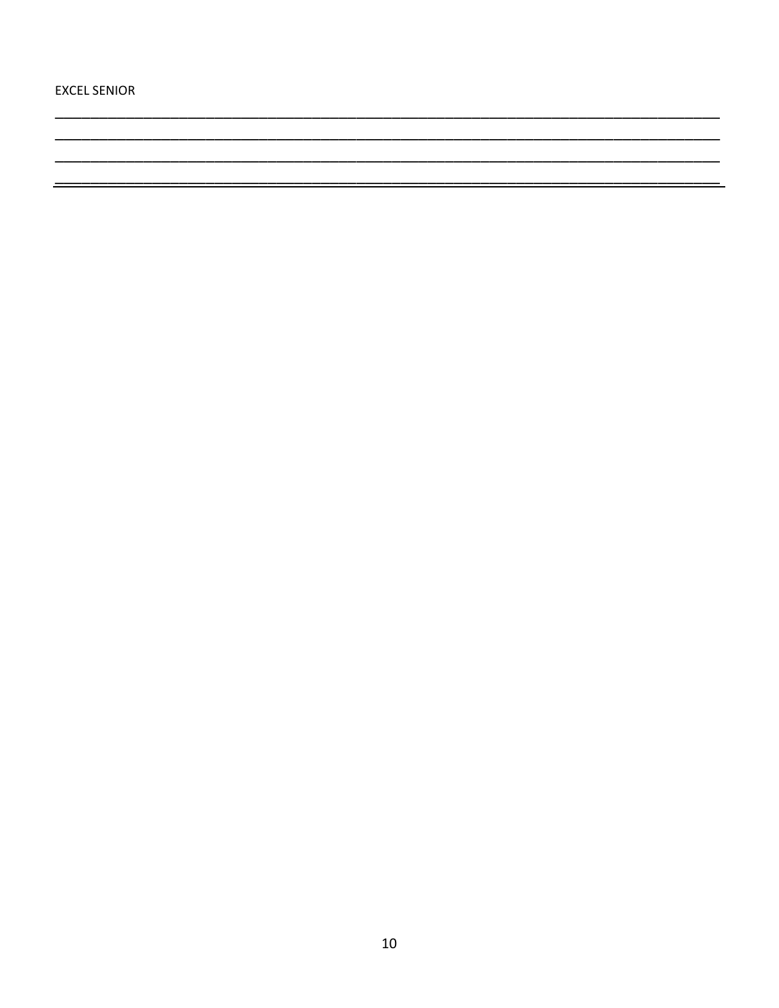**EXCEL SENIOR** 

\_\_\_\_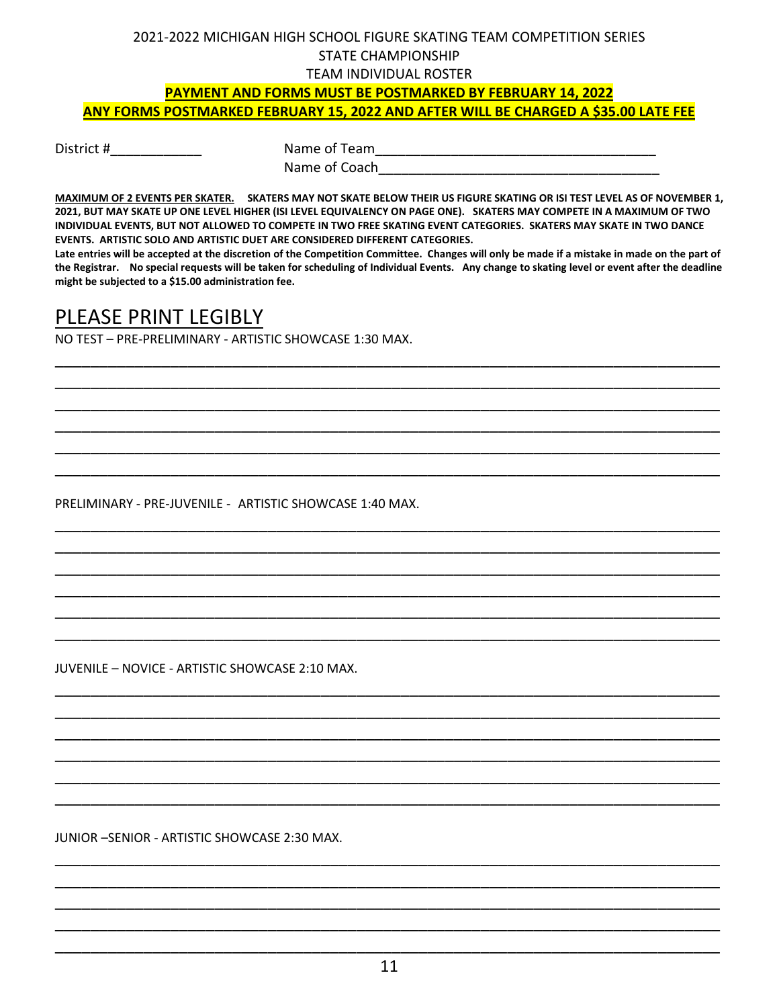# **PAYMENT AND FORMS MUST BE POSTMARKED BY FEBRUARY 14, 2022 ANY FORMS POSTMARKED FEBRUARY 15, 2022 AND AFTER WILL BE CHARGED A \$35.00 LATE FEE**

District # The Name of Team Name of Coach

**MAXIMUM OF 2 EVENTS PER SKATER. SKATERS MAY NOT SKATE BELOW THEIR US FIGURE SKATING OR ISI TEST LEVEL AS OF NOVEMBER 1, 2021, BUT MAY SKATE UP ONE LEVEL HIGHER (ISI LEVEL EQUIVALENCY ON PAGE ONE). SKATERS MAY COMPETE IN A MAXIMUM OF TWO INDIVIDUAL EVENTS, BUT NOT ALLOWED TO COMPETE IN TWO FREE SKATING EVENT CATEGORIES. SKATERS MAY SKATE IN TWO DANCE EVENTS. ARTISTIC SOLO AND ARTISTIC DUET ARE CONSIDERED DIFFERENT CATEGORIES.** 

**Late entries will be accepted at the discretion of the Competition Committee. Changes will only be made if a mistake in made on the part of the Registrar. No special requests will be taken for scheduling of Individual Events. Any change to skating level or event after the deadline might be subjected to a \$15.00 administration fee.** 

\_\_\_\_\_\_\_\_\_\_\_\_\_\_\_\_\_\_\_\_\_\_\_\_\_\_\_\_\_\_\_\_\_\_\_\_\_\_\_\_\_\_\_\_\_\_\_\_\_\_\_\_\_\_\_\_\_\_\_\_\_\_\_\_\_\_\_\_\_\_\_\_\_\_\_ \_\_\_\_\_\_\_\_\_\_\_\_\_\_\_\_\_\_\_\_\_\_\_\_\_\_\_\_\_\_\_\_\_\_\_\_\_\_\_\_\_\_\_\_\_\_\_\_\_\_\_\_\_\_\_\_\_\_\_\_\_\_\_\_\_\_\_\_\_\_\_\_\_\_\_ \_\_\_\_\_\_\_\_\_\_\_\_\_\_\_\_\_\_\_\_\_\_\_\_\_\_\_\_\_\_\_\_\_\_\_\_\_\_\_\_\_\_\_\_\_\_\_\_\_\_\_\_\_\_\_\_\_\_\_\_\_\_\_\_\_\_\_\_\_\_\_\_\_\_\_ \_\_\_\_\_\_\_\_\_\_\_\_\_\_\_\_\_\_\_\_\_\_\_\_\_\_\_\_\_\_\_\_\_\_\_\_\_\_\_\_\_\_\_\_\_\_\_\_\_\_\_\_\_\_\_\_\_\_\_\_\_\_\_\_\_\_\_\_\_\_\_\_\_\_\_ \_\_\_\_\_\_\_\_\_\_\_\_\_\_\_\_\_\_\_\_\_\_\_\_\_\_\_\_\_\_\_\_\_\_\_\_\_\_\_\_\_\_\_\_\_\_\_\_\_\_\_\_\_\_\_\_\_\_\_\_\_\_\_\_\_\_\_\_\_\_\_\_\_\_\_ \_\_\_\_\_\_\_\_\_\_\_\_\_\_\_\_\_\_\_\_\_\_\_\_\_\_\_\_\_\_\_\_\_\_\_\_\_\_\_\_\_\_\_\_\_\_\_\_\_\_\_\_\_\_\_\_\_\_\_\_\_\_\_\_\_\_\_\_\_\_\_\_\_\_\_

\_\_\_\_\_\_\_\_\_\_\_\_\_\_\_\_\_\_\_\_\_\_\_\_\_\_\_\_\_\_\_\_\_\_\_\_\_\_\_\_\_\_\_\_\_\_\_\_\_\_\_\_\_\_\_\_\_\_\_\_\_\_\_\_\_\_\_\_\_\_\_\_\_\_\_ \_\_\_\_\_\_\_\_\_\_\_\_\_\_\_\_\_\_\_\_\_\_\_\_\_\_\_\_\_\_\_\_\_\_\_\_\_\_\_\_\_\_\_\_\_\_\_\_\_\_\_\_\_\_\_\_\_\_\_\_\_\_\_\_\_\_\_\_\_\_\_\_\_\_\_ \_\_\_\_\_\_\_\_\_\_\_\_\_\_\_\_\_\_\_\_\_\_\_\_\_\_\_\_\_\_\_\_\_\_\_\_\_\_\_\_\_\_\_\_\_\_\_\_\_\_\_\_\_\_\_\_\_\_\_\_\_\_\_\_\_\_\_\_\_\_\_\_\_\_\_ \_\_\_\_\_\_\_\_\_\_\_\_\_\_\_\_\_\_\_\_\_\_\_\_\_\_\_\_\_\_\_\_\_\_\_\_\_\_\_\_\_\_\_\_\_\_\_\_\_\_\_\_\_\_\_\_\_\_\_\_\_\_\_\_\_\_\_\_\_\_\_\_\_\_\_ \_\_\_\_\_\_\_\_\_\_\_\_\_\_\_\_\_\_\_\_\_\_\_\_\_\_\_\_\_\_\_\_\_\_\_\_\_\_\_\_\_\_\_\_\_\_\_\_\_\_\_\_\_\_\_\_\_\_\_\_\_\_\_\_\_\_\_\_\_\_\_\_\_\_\_ \_\_\_\_\_\_\_\_\_\_\_\_\_\_\_\_\_\_\_\_\_\_\_\_\_\_\_\_\_\_\_\_\_\_\_\_\_\_\_\_\_\_\_\_\_\_\_\_\_\_\_\_\_\_\_\_\_\_\_\_\_\_\_\_\_\_\_\_\_\_\_\_\_\_\_

\_\_\_\_\_\_\_\_\_\_\_\_\_\_\_\_\_\_\_\_\_\_\_\_\_\_\_\_\_\_\_\_\_\_\_\_\_\_\_\_\_\_\_\_\_\_\_\_\_\_\_\_\_\_\_\_\_\_\_\_\_\_\_\_\_\_\_\_\_\_\_\_\_\_\_ \_\_\_\_\_\_\_\_\_\_\_\_\_\_\_\_\_\_\_\_\_\_\_\_\_\_\_\_\_\_\_\_\_\_\_\_\_\_\_\_\_\_\_\_\_\_\_\_\_\_\_\_\_\_\_\_\_\_\_\_\_\_\_\_\_\_\_\_\_\_\_\_\_\_\_ \_\_\_\_\_\_\_\_\_\_\_\_\_\_\_\_\_\_\_\_\_\_\_\_\_\_\_\_\_\_\_\_\_\_\_\_\_\_\_\_\_\_\_\_\_\_\_\_\_\_\_\_\_\_\_\_\_\_\_\_\_\_\_\_\_\_\_\_\_\_\_\_\_\_\_ \_\_\_\_\_\_\_\_\_\_\_\_\_\_\_\_\_\_\_\_\_\_\_\_\_\_\_\_\_\_\_\_\_\_\_\_\_\_\_\_\_\_\_\_\_\_\_\_\_\_\_\_\_\_\_\_\_\_\_\_\_\_\_\_\_\_\_\_\_\_\_\_\_\_\_ \_\_\_\_\_\_\_\_\_\_\_\_\_\_\_\_\_\_\_\_\_\_\_\_\_\_\_\_\_\_\_\_\_\_\_\_\_\_\_\_\_\_\_\_\_\_\_\_\_\_\_\_\_\_\_\_\_\_\_\_\_\_\_\_\_\_\_\_\_\_\_\_\_\_\_ \_\_\_\_\_\_\_\_\_\_\_\_\_\_\_\_\_\_\_\_\_\_\_\_\_\_\_\_\_\_\_\_\_\_\_\_\_\_\_\_\_\_\_\_\_\_\_\_\_\_\_\_\_\_\_\_\_\_\_\_\_\_\_\_\_\_\_\_\_\_\_\_\_\_\_

# PLEASE PRINT LEGIBLY

NO TEST – PRE-PRELIMINARY - ARTISTIC SHOWCASE 1:30 MAX.

PRELIMINARY - PRE-JUVENILE - ARTISTIC SHOWCASE 1:40 MAX.

JUVENILE – NOVICE - ARTISTIC SHOWCASE 2:10 MAX.

JUNIOR –SENIOR - ARTISTIC SHOWCASE 2:30 MAX.

\_\_\_\_\_\_\_\_\_\_\_\_\_\_\_\_\_\_\_\_\_\_\_\_\_\_\_\_\_\_\_\_\_\_\_\_\_\_\_\_\_\_\_\_\_\_\_\_\_\_\_\_\_\_\_\_\_\_\_\_\_\_\_\_\_\_\_\_\_\_\_\_\_\_\_ \_\_\_\_\_\_\_\_\_\_\_\_\_\_\_\_\_\_\_\_\_\_\_\_\_\_\_\_\_\_\_\_\_\_\_\_\_\_\_\_\_\_\_\_\_\_\_\_\_\_\_\_\_\_\_\_\_\_\_\_\_\_\_\_\_\_\_\_\_\_\_\_\_\_\_ \_\_\_\_\_\_\_\_\_\_\_\_\_\_\_\_\_\_\_\_\_\_\_\_\_\_\_\_\_\_\_\_\_\_\_\_\_\_\_\_\_\_\_\_\_\_\_\_\_\_\_\_\_\_\_\_\_\_\_\_\_\_\_\_\_\_\_\_\_\_\_\_\_\_\_ \_\_\_\_\_\_\_\_\_\_\_\_\_\_\_\_\_\_\_\_\_\_\_\_\_\_\_\_\_\_\_\_\_\_\_\_\_\_\_\_\_\_\_\_\_\_\_\_\_\_\_\_\_\_\_\_\_\_\_\_\_\_\_\_\_\_\_\_\_\_\_\_\_\_\_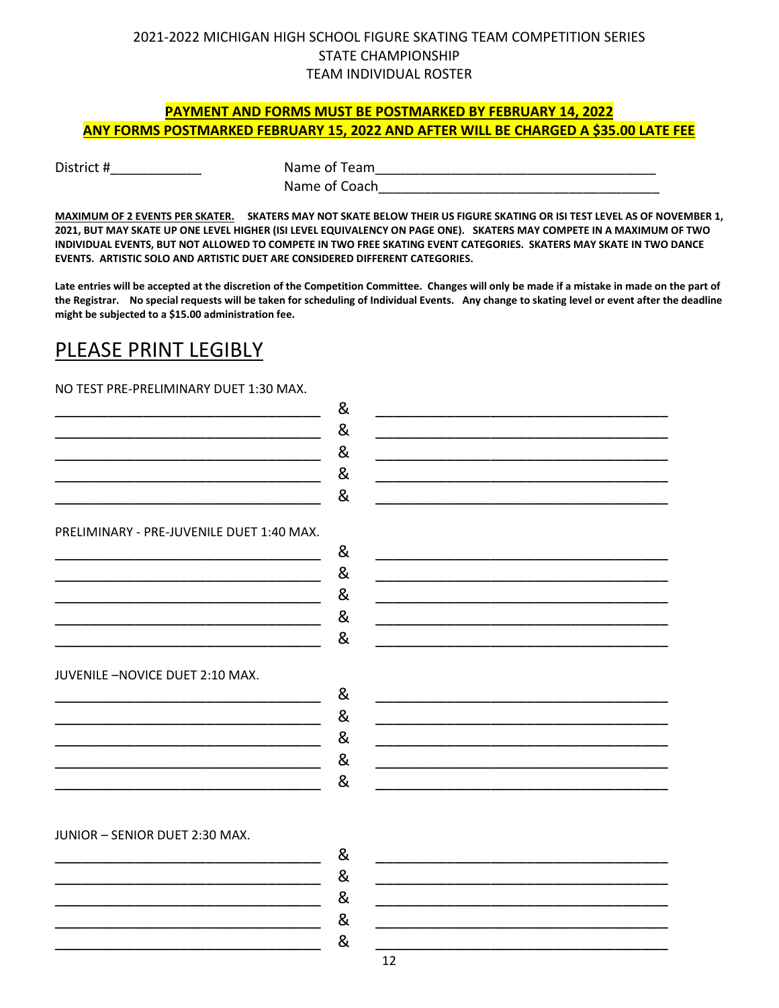### **PAYMENT AND FORMS MUST BE POSTMARKED BY FEBRUARY 14, 2022 ANY FORMS POSTMARKED FEBRUARY 15, 2022 AND AFTER WILL BE CHARGED A \$35.00 LATE FEE**

District #\_\_\_\_\_\_\_\_\_\_\_\_ Name of Team\_\_\_\_\_\_\_\_\_\_\_\_\_\_\_\_\_\_\_\_\_\_\_\_\_\_\_\_\_\_\_\_\_\_\_\_\_ Name of Coach

**MAXIMUM OF 2 EVENTS PER SKATER. SKATERS MAY NOT SKATE BELOW THEIR US FIGURE SKATING OR ISI TEST LEVEL AS OF NOVEMBER 1, 2021, BUT MAY SKATE UP ONE LEVEL HIGHER (ISI LEVEL EQUIVALENCY ON PAGE ONE). SKATERS MAY COMPETE IN A MAXIMUM OF TWO INDIVIDUAL EVENTS, BUT NOT ALLOWED TO COMPETE IN TWO FREE SKATING EVENT CATEGORIES. SKATERS MAY SKATE IN TWO DANCE EVENTS. ARTISTIC SOLO AND ARTISTIC DUET ARE CONSIDERED DIFFERENT CATEGORIES.** 

**Late entries will be accepted at the discretion of the Competition Committee. Changes will only be made if a mistake in made on the part of the Registrar. No special requests will be taken for scheduling of Individual Events. Any change to skating level or event after the deadline might be subjected to a \$15.00 administration fee.** 

# PLEASE PRINT LEGIBLY

NO TEST PRE-PRELIMINARY DUET 1:30 MAX.

|                                           | & |
|-------------------------------------------|---|
|                                           | & |
|                                           | & |
|                                           | & |
|                                           | & |
|                                           |   |
| PRELIMINARY - PRE-JUVENILE DUET 1:40 MAX. |   |
|                                           | & |
|                                           | & |
|                                           | & |
|                                           | & |
|                                           | & |
|                                           |   |
| JUVENILE-NOVICE DUET 2:10 MAX.            |   |
|                                           | & |
|                                           | & |
|                                           | & |
|                                           |   |
|                                           | & |
|                                           | & |
|                                           |   |
| JUNIOR - SENIOR DUET 2:30 MAX.            |   |
|                                           | & |
|                                           | & |
|                                           | & |
|                                           |   |
|                                           | & |
|                                           | & |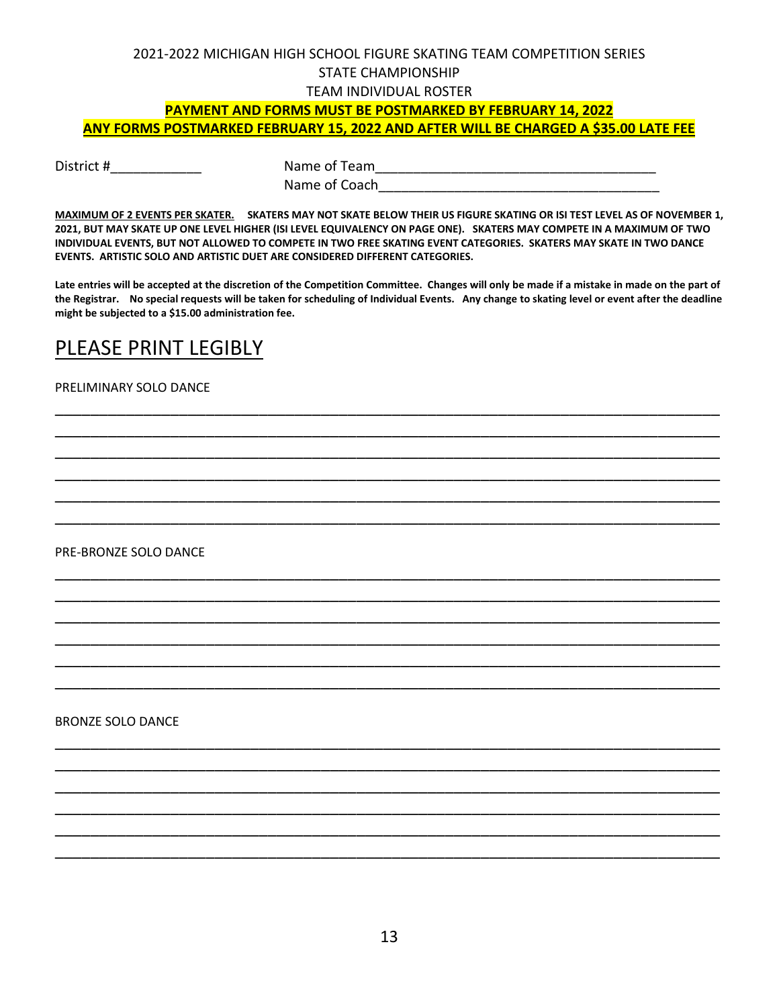# 2021-2022 MICHIGAN HIGH SCHOOL FIGURE SKATING TEAM COMPETITION SERIES STATE CHAMPIONSHIP

### TEAM INDIVIDUAL ROSTER

### **PAYMENT AND FORMS MUST BE POSTMARKED BY FEBRUARY 14, 2022 ANY FORMS POSTMARKED FEBRUARY 15, 2022 AND AFTER WILL BE CHARGED A \$35.00 LATE FEE**

District #\_\_\_\_\_\_\_\_\_\_\_\_ Name of Team\_\_\_\_\_\_\_\_\_\_\_\_\_\_\_\_\_\_\_\_\_\_\_\_\_\_\_\_\_\_\_\_\_\_\_\_\_ Name of Coach

**MAXIMUM OF 2 EVENTS PER SKATER. SKATERS MAY NOT SKATE BELOW THEIR US FIGURE SKATING OR ISI TEST LEVEL AS OF NOVEMBER 1, 2021, BUT MAY SKATE UP ONE LEVEL HIGHER (ISI LEVEL EQUIVALENCY ON PAGE ONE). SKATERS MAY COMPETE IN A MAXIMUM OF TWO INDIVIDUAL EVENTS, BUT NOT ALLOWED TO COMPETE IN TWO FREE SKATING EVENT CATEGORIES. SKATERS MAY SKATE IN TWO DANCE EVENTS. ARTISTIC SOLO AND ARTISTIC DUET ARE CONSIDERED DIFFERENT CATEGORIES.** 

**Late entries will be accepted at the discretion of the Competition Committee. Changes will only be made if a mistake in made on the part of the Registrar. No special requests will be taken for scheduling of Individual Events. Any change to skating level or event after the deadline might be subjected to a \$15.00 administration fee.** 

\_\_\_\_\_\_\_\_\_\_\_\_\_\_\_\_\_\_\_\_\_\_\_\_\_\_\_\_\_\_\_\_\_\_\_\_\_\_\_\_\_\_\_\_\_\_\_\_\_\_\_\_\_\_\_\_\_\_\_\_\_\_\_\_\_\_\_\_\_\_\_\_\_\_\_ \_\_\_\_\_\_\_\_\_\_\_\_\_\_\_\_\_\_\_\_\_\_\_\_\_\_\_\_\_\_\_\_\_\_\_\_\_\_\_\_\_\_\_\_\_\_\_\_\_\_\_\_\_\_\_\_\_\_\_\_\_\_\_\_\_\_\_\_\_\_\_\_\_\_\_ \_\_\_\_\_\_\_\_\_\_\_\_\_\_\_\_\_\_\_\_\_\_\_\_\_\_\_\_\_\_\_\_\_\_\_\_\_\_\_\_\_\_\_\_\_\_\_\_\_\_\_\_\_\_\_\_\_\_\_\_\_\_\_\_\_\_\_\_\_\_\_\_\_\_\_ \_\_\_\_\_\_\_\_\_\_\_\_\_\_\_\_\_\_\_\_\_\_\_\_\_\_\_\_\_\_\_\_\_\_\_\_\_\_\_\_\_\_\_\_\_\_\_\_\_\_\_\_\_\_\_\_\_\_\_\_\_\_\_\_\_\_\_\_\_\_\_\_\_\_\_ \_\_\_\_\_\_\_\_\_\_\_\_\_\_\_\_\_\_\_\_\_\_\_\_\_\_\_\_\_\_\_\_\_\_\_\_\_\_\_\_\_\_\_\_\_\_\_\_\_\_\_\_\_\_\_\_\_\_\_\_\_\_\_\_\_\_\_\_\_\_\_\_\_\_\_ \_\_\_\_\_\_\_\_\_\_\_\_\_\_\_\_\_\_\_\_\_\_\_\_\_\_\_\_\_\_\_\_\_\_\_\_\_\_\_\_\_\_\_\_\_\_\_\_\_\_\_\_\_\_\_\_\_\_\_\_\_\_\_\_\_\_\_\_\_\_\_\_\_\_\_

\_\_\_\_\_\_\_\_\_\_\_\_\_\_\_\_\_\_\_\_\_\_\_\_\_\_\_\_\_\_\_\_\_\_\_\_\_\_\_\_\_\_\_\_\_\_\_\_\_\_\_\_\_\_\_\_\_\_\_\_\_\_\_\_\_\_\_\_\_\_\_\_\_\_\_ \_\_\_\_\_\_\_\_\_\_\_\_\_\_\_\_\_\_\_\_\_\_\_\_\_\_\_\_\_\_\_\_\_\_\_\_\_\_\_\_\_\_\_\_\_\_\_\_\_\_\_\_\_\_\_\_\_\_\_\_\_\_\_\_\_\_\_\_\_\_\_\_\_\_\_ \_\_\_\_\_\_\_\_\_\_\_\_\_\_\_\_\_\_\_\_\_\_\_\_\_\_\_\_\_\_\_\_\_\_\_\_\_\_\_\_\_\_\_\_\_\_\_\_\_\_\_\_\_\_\_\_\_\_\_\_\_\_\_\_\_\_\_\_\_\_\_\_\_\_\_ \_\_\_\_\_\_\_\_\_\_\_\_\_\_\_\_\_\_\_\_\_\_\_\_\_\_\_\_\_\_\_\_\_\_\_\_\_\_\_\_\_\_\_\_\_\_\_\_\_\_\_\_\_\_\_\_\_\_\_\_\_\_\_\_\_\_\_\_\_\_\_\_\_\_\_ \_\_\_\_\_\_\_\_\_\_\_\_\_\_\_\_\_\_\_\_\_\_\_\_\_\_\_\_\_\_\_\_\_\_\_\_\_\_\_\_\_\_\_\_\_\_\_\_\_\_\_\_\_\_\_\_\_\_\_\_\_\_\_\_\_\_\_\_\_\_\_\_\_\_\_ \_\_\_\_\_\_\_\_\_\_\_\_\_\_\_\_\_\_\_\_\_\_\_\_\_\_\_\_\_\_\_\_\_\_\_\_\_\_\_\_\_\_\_\_\_\_\_\_\_\_\_\_\_\_\_\_\_\_\_\_\_\_\_\_\_\_\_\_\_\_\_\_\_\_\_

\_\_\_\_\_\_\_\_\_\_\_\_\_\_\_\_\_\_\_\_\_\_\_\_\_\_\_\_\_\_\_\_\_\_\_\_\_\_\_\_\_\_\_\_\_\_\_\_\_\_\_\_\_\_\_\_\_\_\_\_\_\_\_\_\_\_\_\_\_\_\_\_\_\_\_ \_\_\_\_\_\_\_\_\_\_\_\_\_\_\_\_\_\_\_\_\_\_\_\_\_\_\_\_\_\_\_\_\_\_\_\_\_\_\_\_\_\_\_\_\_\_\_\_\_\_\_\_\_\_\_\_\_\_\_\_\_\_\_\_\_\_\_\_\_\_\_\_\_\_\_ \_\_\_\_\_\_\_\_\_\_\_\_\_\_\_\_\_\_\_\_\_\_\_\_\_\_\_\_\_\_\_\_\_\_\_\_\_\_\_\_\_\_\_\_\_\_\_\_\_\_\_\_\_\_\_\_\_\_\_\_\_\_\_\_\_\_\_\_\_\_\_\_\_\_\_ \_\_\_\_\_\_\_\_\_\_\_\_\_\_\_\_\_\_\_\_\_\_\_\_\_\_\_\_\_\_\_\_\_\_\_\_\_\_\_\_\_\_\_\_\_\_\_\_\_\_\_\_\_\_\_\_\_\_\_\_\_\_\_\_\_\_\_\_\_\_\_\_\_\_\_ \_\_\_\_\_\_\_\_\_\_\_\_\_\_\_\_\_\_\_\_\_\_\_\_\_\_\_\_\_\_\_\_\_\_\_\_\_\_\_\_\_\_\_\_\_\_\_\_\_\_\_\_\_\_\_\_\_\_\_\_\_\_\_\_\_\_\_\_\_\_\_\_\_\_\_ \_\_\_\_\_\_\_\_\_\_\_\_\_\_\_\_\_\_\_\_\_\_\_\_\_\_\_\_\_\_\_\_\_\_\_\_\_\_\_\_\_\_\_\_\_\_\_\_\_\_\_\_\_\_\_\_\_\_\_\_\_\_\_\_\_\_\_\_\_\_\_\_\_\_\_

# PLEASE PRINT LEGIBLY

#### PRELIMINARY SOLO DANCE

PRE-BRONZE SOLO DANCE

### BRONZE SOLO DANCE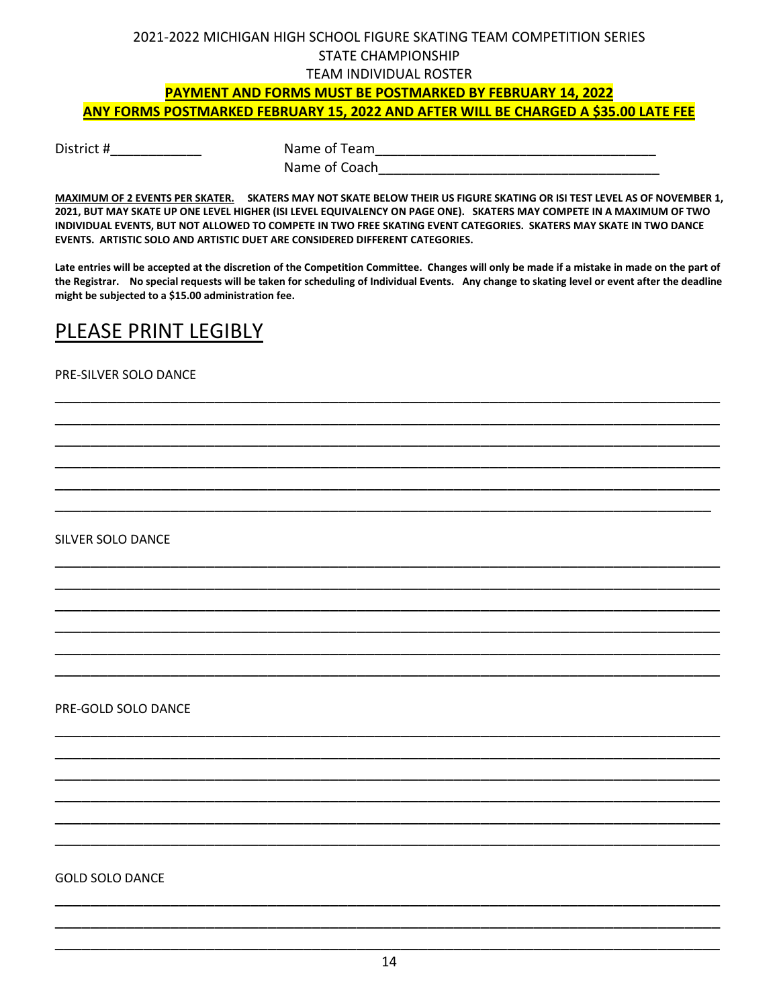# **PAYMENT AND FORMS MUST BE POSTMARKED BY FEBRUARY 14, 2022 ANY FORMS POSTMARKED FEBRUARY 15, 2022 AND AFTER WILL BE CHARGED A \$35.00 LATE FEE**

District # The Contract Name of Team Name of Coach

**MAXIMUM OF 2 EVENTS PER SKATER. SKATERS MAY NOT SKATE BELOW THEIR US FIGURE SKATING OR ISI TEST LEVEL AS OF NOVEMBER 1, 2021, BUT MAY SKATE UP ONE LEVEL HIGHER (ISI LEVEL EQUIVALENCY ON PAGE ONE). SKATERS MAY COMPETE IN A MAXIMUM OF TWO INDIVIDUAL EVENTS, BUT NOT ALLOWED TO COMPETE IN TWO FREE SKATING EVENT CATEGORIES. SKATERS MAY SKATE IN TWO DANCE EVENTS. ARTISTIC SOLO AND ARTISTIC DUET ARE CONSIDERED DIFFERENT CATEGORIES.** 

**Late entries will be accepted at the discretion of the Competition Committee. Changes will only be made if a mistake in made on the part of the Registrar. No special requests will be taken for scheduling of Individual Events. Any change to skating level or event after the deadline might be subjected to a \$15.00 administration fee.** 

\_\_\_\_\_\_\_\_\_\_\_\_\_\_\_\_\_\_\_\_\_\_\_\_\_\_\_\_\_\_\_\_\_\_\_\_\_\_\_\_\_\_\_\_\_\_\_\_\_\_\_\_\_\_\_\_\_\_\_\_\_\_\_\_\_\_\_\_\_\_\_\_\_\_\_ \_\_\_\_\_\_\_\_\_\_\_\_\_\_\_\_\_\_\_\_\_\_\_\_\_\_\_\_\_\_\_\_\_\_\_\_\_\_\_\_\_\_\_\_\_\_\_\_\_\_\_\_\_\_\_\_\_\_\_\_\_\_\_\_\_\_\_\_\_\_\_\_\_\_\_ \_\_\_\_\_\_\_\_\_\_\_\_\_\_\_\_\_\_\_\_\_\_\_\_\_\_\_\_\_\_\_\_\_\_\_\_\_\_\_\_\_\_\_\_\_\_\_\_\_\_\_\_\_\_\_\_\_\_\_\_\_\_\_\_\_\_\_\_\_\_\_\_\_\_\_ \_\_\_\_\_\_\_\_\_\_\_\_\_\_\_\_\_\_\_\_\_\_\_\_\_\_\_\_\_\_\_\_\_\_\_\_\_\_\_\_\_\_\_\_\_\_\_\_\_\_\_\_\_\_\_\_\_\_\_\_\_\_\_\_\_\_\_\_\_\_\_\_\_\_\_ \_\_\_\_\_\_\_\_\_\_\_\_\_\_\_\_\_\_\_\_\_\_\_\_\_\_\_\_\_\_\_\_\_\_\_\_\_\_\_\_\_\_\_\_\_\_\_\_\_\_\_\_\_\_\_\_\_\_\_\_\_\_\_\_\_\_\_\_\_\_\_\_\_\_\_ \_\_\_\_\_\_\_\_\_\_\_\_\_\_\_\_\_\_\_\_\_\_\_\_\_\_\_\_\_\_\_\_\_\_\_\_\_\_\_\_\_\_\_\_\_\_\_\_\_\_\_\_\_\_\_\_\_\_\_\_\_\_\_\_\_\_\_\_\_\_\_\_\_\_

\_\_\_\_\_\_\_\_\_\_\_\_\_\_\_\_\_\_\_\_\_\_\_\_\_\_\_\_\_\_\_\_\_\_\_\_\_\_\_\_\_\_\_\_\_\_\_\_\_\_\_\_\_\_\_\_\_\_\_\_\_\_\_\_\_\_\_\_\_\_\_\_\_\_\_ \_\_\_\_\_\_\_\_\_\_\_\_\_\_\_\_\_\_\_\_\_\_\_\_\_\_\_\_\_\_\_\_\_\_\_\_\_\_\_\_\_\_\_\_\_\_\_\_\_\_\_\_\_\_\_\_\_\_\_\_\_\_\_\_\_\_\_\_\_\_\_\_\_\_\_ \_\_\_\_\_\_\_\_\_\_\_\_\_\_\_\_\_\_\_\_\_\_\_\_\_\_\_\_\_\_\_\_\_\_\_\_\_\_\_\_\_\_\_\_\_\_\_\_\_\_\_\_\_\_\_\_\_\_\_\_\_\_\_\_\_\_\_\_\_\_\_\_\_\_\_ \_\_\_\_\_\_\_\_\_\_\_\_\_\_\_\_\_\_\_\_\_\_\_\_\_\_\_\_\_\_\_\_\_\_\_\_\_\_\_\_\_\_\_\_\_\_\_\_\_\_\_\_\_\_\_\_\_\_\_\_\_\_\_\_\_\_\_\_\_\_\_\_\_\_\_ \_\_\_\_\_\_\_\_\_\_\_\_\_\_\_\_\_\_\_\_\_\_\_\_\_\_\_\_\_\_\_\_\_\_\_\_\_\_\_\_\_\_\_\_\_\_\_\_\_\_\_\_\_\_\_\_\_\_\_\_\_\_\_\_\_\_\_\_\_\_\_\_\_\_\_ \_\_\_\_\_\_\_\_\_\_\_\_\_\_\_\_\_\_\_\_\_\_\_\_\_\_\_\_\_\_\_\_\_\_\_\_\_\_\_\_\_\_\_\_\_\_\_\_\_\_\_\_\_\_\_\_\_\_\_\_\_\_\_\_\_\_\_\_\_\_\_\_\_\_\_

\_\_\_\_\_\_\_\_\_\_\_\_\_\_\_\_\_\_\_\_\_\_\_\_\_\_\_\_\_\_\_\_\_\_\_\_\_\_\_\_\_\_\_\_\_\_\_\_\_\_\_\_\_\_\_\_\_\_\_\_\_\_\_\_\_\_\_\_\_\_\_\_\_\_\_ \_\_\_\_\_\_\_\_\_\_\_\_\_\_\_\_\_\_\_\_\_\_\_\_\_\_\_\_\_\_\_\_\_\_\_\_\_\_\_\_\_\_\_\_\_\_\_\_\_\_\_\_\_\_\_\_\_\_\_\_\_\_\_\_\_\_\_\_\_\_\_\_\_\_\_ \_\_\_\_\_\_\_\_\_\_\_\_\_\_\_\_\_\_\_\_\_\_\_\_\_\_\_\_\_\_\_\_\_\_\_\_\_\_\_\_\_\_\_\_\_\_\_\_\_\_\_\_\_\_\_\_\_\_\_\_\_\_\_\_\_\_\_\_\_\_\_\_\_\_\_ \_\_\_\_\_\_\_\_\_\_\_\_\_\_\_\_\_\_\_\_\_\_\_\_\_\_\_\_\_\_\_\_\_\_\_\_\_\_\_\_\_\_\_\_\_\_\_\_\_\_\_\_\_\_\_\_\_\_\_\_\_\_\_\_\_\_\_\_\_\_\_\_\_\_\_ \_\_\_\_\_\_\_\_\_\_\_\_\_\_\_\_\_\_\_\_\_\_\_\_\_\_\_\_\_\_\_\_\_\_\_\_\_\_\_\_\_\_\_\_\_\_\_\_\_\_\_\_\_\_\_\_\_\_\_\_\_\_\_\_\_\_\_\_\_\_\_\_\_\_\_ \_\_\_\_\_\_\_\_\_\_\_\_\_\_\_\_\_\_\_\_\_\_\_\_\_\_\_\_\_\_\_\_\_\_\_\_\_\_\_\_\_\_\_\_\_\_\_\_\_\_\_\_\_\_\_\_\_\_\_\_\_\_\_\_\_\_\_\_\_\_\_\_\_\_\_

# PLEASE PRINT LEGIBLY

PRE-SILVER SOLO DANCE

SILVER SOLO DANCE

PRE-GOLD SOLO DANCE

### GOLD SOLO DANCE

\_\_\_\_\_\_\_\_\_\_\_\_\_\_\_\_\_\_\_\_\_\_\_\_\_\_\_\_\_\_\_\_\_\_\_\_\_\_\_\_\_\_\_\_\_\_\_\_\_\_\_\_\_\_\_\_\_\_\_\_\_\_\_\_\_\_\_\_\_\_\_\_\_\_\_ \_\_\_\_\_\_\_\_\_\_\_\_\_\_\_\_\_\_\_\_\_\_\_\_\_\_\_\_\_\_\_\_\_\_\_\_\_\_\_\_\_\_\_\_\_\_\_\_\_\_\_\_\_\_\_\_\_\_\_\_\_\_\_\_\_\_\_\_\_\_\_\_\_\_\_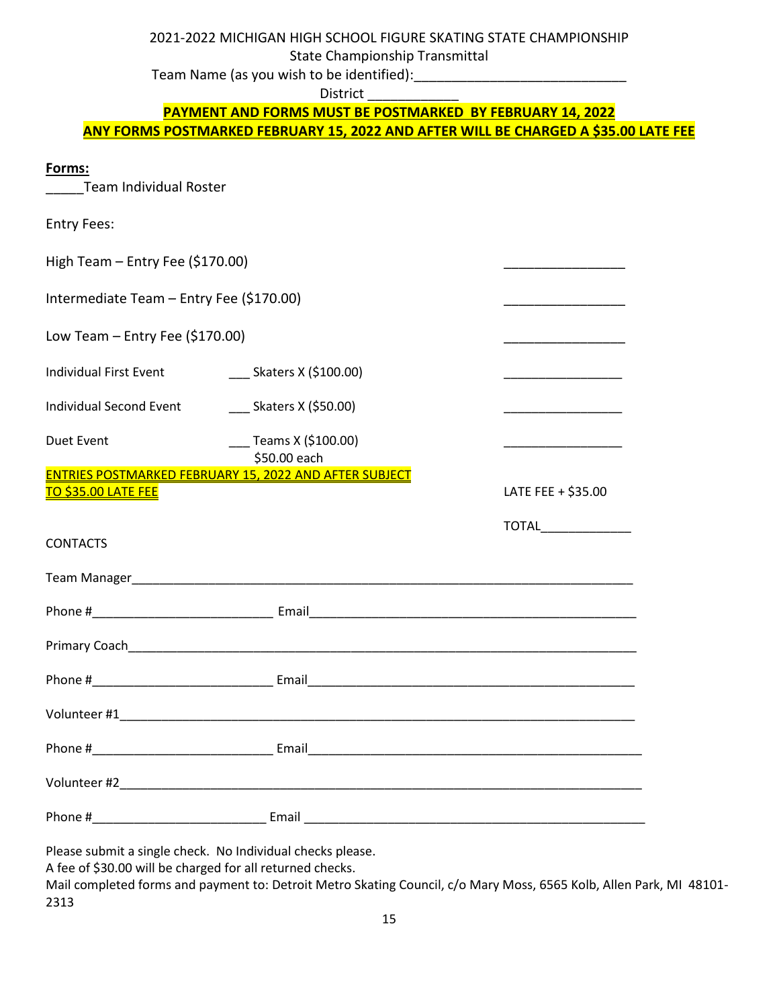2021-2022 MICHIGAN HIGH SCHOOL FIGURE SKATING STATE CHAMPIONSHIP

State Championship Transmittal

Team Name (as you wish to be identified):

District

## **PAYMENT AND FORMS MUST BE POSTMARKED BY FEBRUARY 14, 2022 ANY FORMS POSTMARKED FEBRUARY 15, 2022 AND AFTER WILL BE CHARGED A \$35.00 LATE FEE**

### **Forms:**

Team Individual Roster

| <b>Entry Fees:</b>                       |                                                               |                    |
|------------------------------------------|---------------------------------------------------------------|--------------------|
| High Team - Entry Fee (\$170.00)         |                                                               |                    |
| Intermediate Team - Entry Fee (\$170.00) |                                                               |                    |
| Low Team $-$ Entry Fee (\$170.00)        |                                                               |                    |
| <b>Individual First Event</b>            |                                                               |                    |
| <b>Individual Second Event</b>           | $\sim$ Skaters X (\$50.00)                                    |                    |
| <b>Duet Event</b>                        |                                                               |                    |
| <u>TO \$35.00 LATE FEE</u>               | <b>ENTRIES POSTMARKED FEBRUARY 15, 2022 AND AFTER SUBJECT</b> | LATE FEE + \$35.00 |
| <b>CONTACTS</b>                          | TOTAL______________                                           |                    |
|                                          |                                                               |                    |
|                                          |                                                               |                    |
|                                          |                                                               |                    |
|                                          |                                                               |                    |
|                                          |                                                               |                    |
|                                          |                                                               |                    |
|                                          |                                                               |                    |
|                                          |                                                               |                    |

Please submit a single check. No Individual checks please.

A fee of \$30.00 will be charged for all returned checks.

Mail completed forms and payment to: Detroit Metro Skating Council, c/o Mary Moss, 6565 Kolb, Allen Park, MI 48101- 2313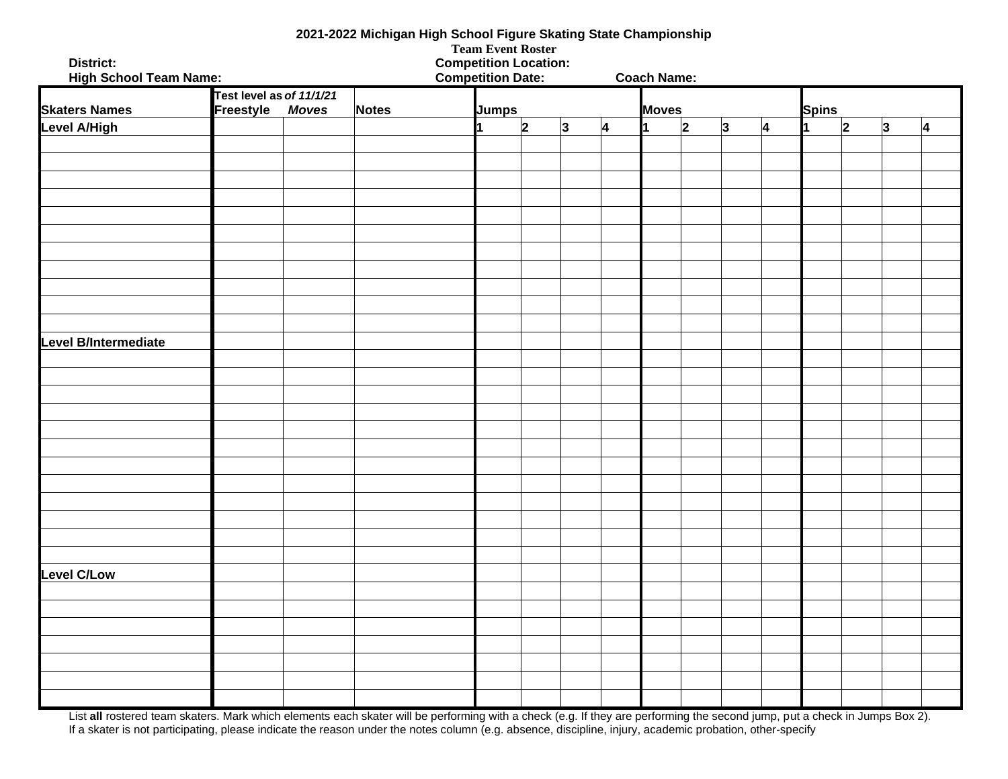| 2021-2022 Michigan High School Figure Skating State Championship<br><b>Team Event Roster</b> |                                              |              |       |                                                          |                      |   |   |                    |                         |   |   |              |           |           |           |
|----------------------------------------------------------------------------------------------|----------------------------------------------|--------------|-------|----------------------------------------------------------|----------------------|---|---|--------------------|-------------------------|---|---|--------------|-----------|-----------|-----------|
| District:<br><b>High School Team Name:</b>                                                   |                                              |              |       | <b>Competition Location:</b><br><b>Competition Date:</b> |                      |   |   | <b>Coach Name:</b> |                         |   |   |              |           |           |           |
| <b>Skaters Names</b>                                                                         | Test level as of 11/1/21<br><b>Freestyle</b> | <b>Moves</b> | Notes | <b>Jumps</b>                                             |                      |   |   | <b>Moves</b>       |                         |   |   | <b>Spins</b> |           |           |           |
| <b>Level A/High</b>                                                                          |                                              |              |       |                                                          | $\vert$ <sub>2</sub> | 3 | 4 |                    | $\overline{\mathbf{2}}$ | 3 | 4 | 1            | $\vert$ 2 | $\vert$ 3 | $\vert$ 4 |
|                                                                                              |                                              |              |       |                                                          |                      |   |   |                    |                         |   |   |              |           |           |           |
|                                                                                              |                                              |              |       |                                                          |                      |   |   |                    |                         |   |   |              |           |           |           |
|                                                                                              |                                              |              |       |                                                          |                      |   |   |                    |                         |   |   |              |           |           |           |
|                                                                                              |                                              |              |       |                                                          |                      |   |   |                    |                         |   |   |              |           |           |           |
|                                                                                              |                                              |              |       |                                                          |                      |   |   |                    |                         |   |   |              |           |           |           |
|                                                                                              |                                              |              |       |                                                          |                      |   |   |                    |                         |   |   |              |           |           |           |
|                                                                                              |                                              |              |       |                                                          |                      |   |   |                    |                         |   |   |              |           |           |           |
|                                                                                              |                                              |              |       |                                                          |                      |   |   |                    |                         |   |   |              |           |           |           |
|                                                                                              |                                              |              |       |                                                          |                      |   |   |                    |                         |   |   |              |           |           |           |
|                                                                                              |                                              |              |       |                                                          |                      |   |   |                    |                         |   |   |              |           |           |           |
|                                                                                              |                                              |              |       |                                                          |                      |   |   |                    |                         |   |   |              |           |           |           |
| Level B/Intermediate                                                                         |                                              |              |       |                                                          |                      |   |   |                    |                         |   |   |              |           |           |           |
|                                                                                              |                                              |              |       |                                                          |                      |   |   |                    |                         |   |   |              |           |           |           |
|                                                                                              |                                              |              |       |                                                          |                      |   |   |                    |                         |   |   |              |           |           |           |
|                                                                                              |                                              |              |       |                                                          |                      |   |   |                    |                         |   |   |              |           |           |           |
|                                                                                              |                                              |              |       |                                                          |                      |   |   |                    |                         |   |   |              |           |           |           |
|                                                                                              |                                              |              |       |                                                          |                      |   |   |                    |                         |   |   |              |           |           |           |
|                                                                                              |                                              |              |       |                                                          |                      |   |   |                    |                         |   |   |              |           |           |           |
|                                                                                              |                                              |              |       |                                                          |                      |   |   |                    |                         |   |   |              |           |           |           |
|                                                                                              |                                              |              |       |                                                          |                      |   |   |                    |                         |   |   |              |           |           |           |
|                                                                                              |                                              |              |       |                                                          |                      |   |   |                    |                         |   |   |              |           |           |           |
|                                                                                              |                                              |              |       |                                                          |                      |   |   |                    |                         |   |   |              |           |           |           |
|                                                                                              |                                              |              |       |                                                          |                      |   |   |                    |                         |   |   |              |           |           |           |
|                                                                                              |                                              |              |       |                                                          |                      |   |   |                    |                         |   |   |              |           |           |           |
|                                                                                              |                                              |              |       |                                                          |                      |   |   |                    |                         |   |   |              |           |           |           |
| <b>Level C/Low</b>                                                                           |                                              |              |       |                                                          |                      |   |   |                    |                         |   |   |              |           |           |           |
|                                                                                              |                                              |              |       |                                                          |                      |   |   |                    |                         |   |   |              |           |           |           |
|                                                                                              |                                              |              |       |                                                          |                      |   |   |                    |                         |   |   |              |           |           |           |
|                                                                                              |                                              |              |       |                                                          |                      |   |   |                    |                         |   |   |              |           |           |           |
|                                                                                              |                                              |              |       |                                                          |                      |   |   |                    |                         |   |   |              |           |           |           |
|                                                                                              |                                              |              |       |                                                          |                      |   |   |                    |                         |   |   |              |           |           |           |
|                                                                                              |                                              |              |       |                                                          |                      |   |   |                    |                         |   |   |              |           |           |           |
|                                                                                              |                                              |              |       |                                                          |                      |   |   |                    |                         |   |   |              |           |           |           |

List all rostered team skaters. Mark which elements each skater will be performing with a check (e.g. If they are performing the second jump, put a check in Jumps Box 2). If a skater is not participating, please indicate the reason under the notes column (e.g. absence, discipline, injury, academic probation, other-specify